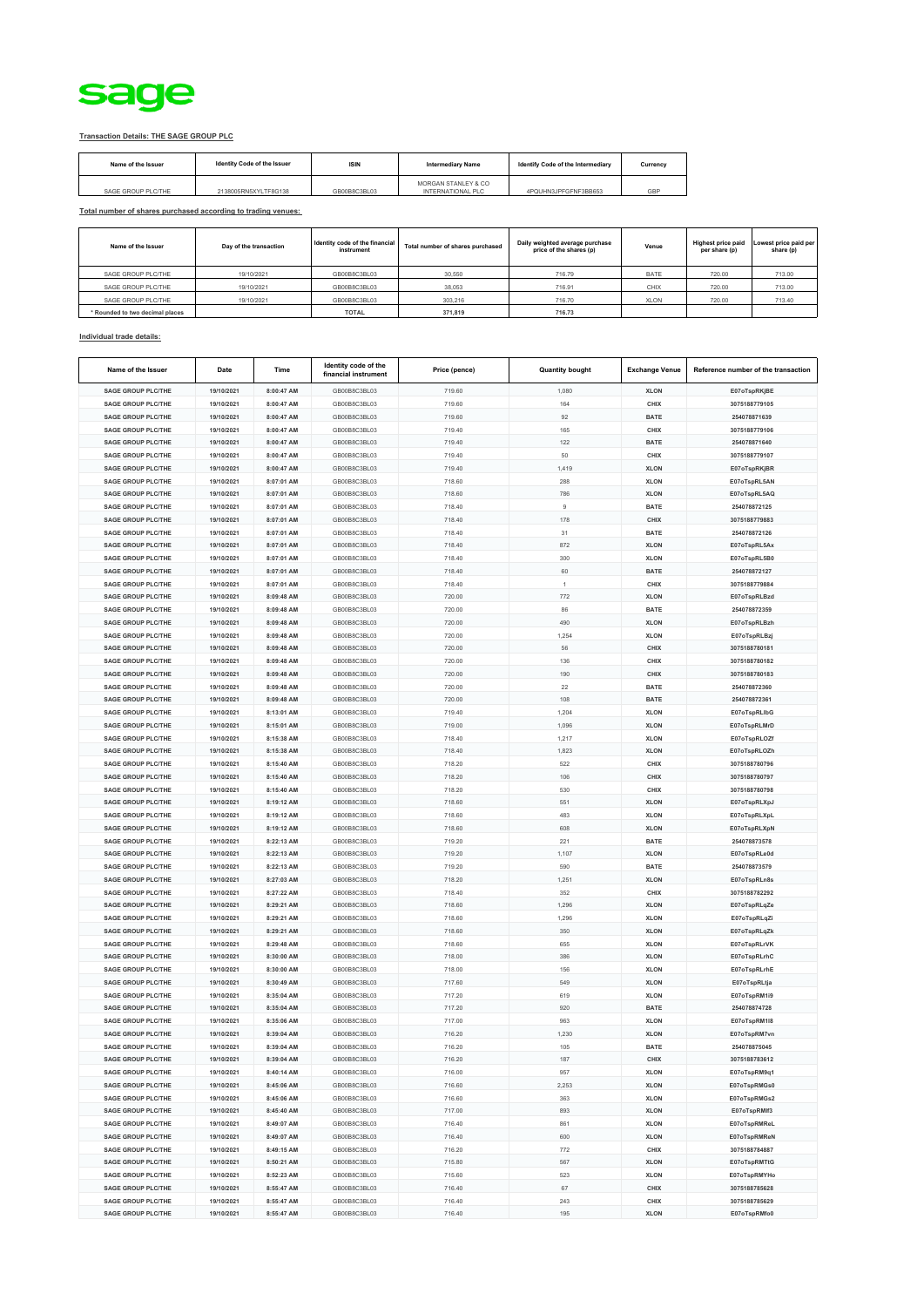

## **Transaction Details: THE SAGE GROUP PLC**

| Name of the Issuer | Identity Code of the Issuer | <b>ISIN</b>  | <b>Intermediary Name</b>                 | Identify Code of the Intermediary | Currency |
|--------------------|-----------------------------|--------------|------------------------------------------|-----------------------------------|----------|
| SAGE GROUP PLC/THE | 2138005RN5XYLTF8G138        | GB00B8C3BL03 | MORGAN STANLEY & CO<br>INTERNATIONAL PLC | 4PQUHN3JPFGFNF3BB653              | GBP      |

**Total number of shares purchased according to trading venues:**

| Name of the Issuer              | Day of the transaction | Identity code of the financial<br>instrument | Total number of shares purchased | Daily weighted average purchase<br>price of the shares (p) | Venue       | <b>Highest price paid</b><br>per share (p) | Lowest price paid per<br>share (p) |
|---------------------------------|------------------------|----------------------------------------------|----------------------------------|------------------------------------------------------------|-------------|--------------------------------------------|------------------------------------|
| SAGE GROUP PLC/THE              | 19/10/2021             | GB00B8C3BL03                                 | 30,550                           | 716.79                                                     | <b>BATE</b> | 720.00                                     | 713.00                             |
| SAGE GROUP PLC/THE              | 19/10/2021             | GB00B8C3BL03                                 | 38.053                           | 716.91                                                     | CHIX        | 720.00                                     | 713.00                             |
| SAGE GROUP PLC/THE              | 19/10/2021             | GB00B8C3BL03                                 | 303,216                          | 716.70                                                     | XLON        | 720.00                                     | 713.40                             |
| * Rounded to two decimal places |                        | <b>TOTAL</b>                                 | 371,819                          | 716.73                                                     |             |                                            |                                    |

## **Individual trade details:**

| Name of the Issuer                                     | Date                     | Time                     | Identity code of the<br>financial instrument | Price (pence)    | <b>Quantity bought</b> | <b>Exchange Venue</b>      | Reference number of the transaction |
|--------------------------------------------------------|--------------------------|--------------------------|----------------------------------------------|------------------|------------------------|----------------------------|-------------------------------------|
| <b>SAGE GROUP PLC/THE</b>                              | 19/10/2021               | 8:00:47 AM               | GB00B8C3BL03                                 | 719.60           | 1,080                  | <b>XLON</b>                | E07oTspRKjBE                        |
| <b>SAGE GROUP PLC/THE</b>                              | 19/10/2021               | 8:00:47 AM               | GB00B8C3BL03                                 | 719.60           | 164                    | CHIX                       | 3075188779105                       |
| SAGE GROUP PLC/THE                                     | 19/10/2021               | 8:00:47 AM               | GB00B8C3BL03                                 | 719.60           | 92                     | <b>BATE</b>                | 254078871639                        |
| <b>SAGE GROUP PLC/THE</b>                              | 19/10/2021               | 8:00:47 AM               | GB00B8C3BL03                                 | 719.40           | 165                    | CHIX                       | 3075188779106                       |
| <b>SAGE GROUP PLC/THE</b>                              | 19/10/2021               | 8:00:47 AM               | GB00B8C3BL03                                 | 719.40           | 122                    | <b>BATE</b>                | 254078871640                        |
| <b>SAGE GROUP PLC/THE</b>                              | 19/10/2021               | 8:00:47 AM               | GB00B8C3BL03                                 | 719.40           | 50                     | CHIX                       | 3075188779107                       |
| <b>SAGE GROUP PLC/THE</b>                              | 19/10/2021               | 8:00:47 AM               | GB00B8C3BL03                                 | 719.40           | 1,419                  | <b>XLON</b>                | E07oTspRKjBR                        |
| <b>SAGE GROUP PLC/THE</b>                              | 19/10/2021               | 8:07:01 AM               | GB00B8C3BL03                                 | 718.60           | 288                    | <b>XLON</b>                | E07oTspRL5AN                        |
| <b>SAGE GROUP PLC/THE</b>                              | 19/10/2021               | 8:07:01 AM               | GB00B8C3BL03                                 | 718.60           | 786                    | <b>XLON</b>                | E07oTspRL5AQ                        |
| <b>SAGE GROUP PLC/THE</b>                              | 19/10/2021               | 8:07:01 AM               | GB00B8C3BL03                                 | 718.40           | $\,9$                  | <b>BATE</b>                | 254078872125                        |
| <b>SAGE GROUP PLC/THE</b>                              | 19/10/2021               | 8:07:01 AM               | GB00B8C3BL03                                 | 718.40           | 178                    | CHIX                       | 3075188779883                       |
| <b>SAGE GROUP PLC/THE</b>                              | 19/10/2021               | 8:07:01 AM               | GB00B8C3BL03                                 | 718.40           | 31                     | <b>BATE</b>                | 254078872126                        |
| SAGE GROUP PLC/THE                                     | 19/10/2021               | 8:07:01 AM               | GB00B8C3BL03                                 | 718.40           | 872                    | <b>XLON</b>                | E07oTspRL5Ax                        |
| <b>SAGE GROUP PLC/THE</b>                              | 19/10/2021               | 8:07:01 AM               | GB00B8C3BL03                                 | 718.40           | 300                    | <b>XLON</b>                | E07oTspRL5B0                        |
| <b>SAGE GROUP PLC/THE</b>                              | 19/10/2021               | 8:07:01 AM               | GB00B8C3BL03                                 | 718.40           | 60                     | <b>BATE</b>                | 254078872127                        |
| <b>SAGE GROUP PLC/THE</b>                              | 19/10/2021               | 8:07:01 AM               | GB00B8C3BL03                                 | 718.40           | $\mathbf{1}$           | CHIX                       | 3075188779884                       |
| <b>SAGE GROUP PLC/THE</b>                              | 19/10/2021               | 8:09:48 AM               | GB00B8C3BL03                                 | 720.00           | 772                    | <b>XLON</b>                | E07oTspRLBzd                        |
| <b>SAGE GROUP PLC/THE</b>                              | 19/10/2021               | 8:09:48 AM               | GB00B8C3BL03                                 | 720.00           | 86                     | <b>BATE</b>                | 254078872359                        |
| <b>SAGE GROUP PLC/THE</b>                              | 19/10/2021               | 8:09:48 AM               | GB00B8C3BL03                                 | 720.00           | 490                    | <b>XLON</b>                | E07oTspRLBzh                        |
| <b>SAGE GROUP PLC/THE</b>                              | 19/10/2021               | 8:09:48 AM               | GB00B8C3BL03                                 | 720.00           | 1,254                  | <b>XLON</b>                | E07oTspRLBzj                        |
| <b>SAGE GROUP PLC/THE</b>                              | 19/10/2021               | 8:09:48 AM               | GB00B8C3BL03                                 | 720.00           | 56                     | CHIX                       | 3075188780181                       |
| <b>SAGE GROUP PLC/THE</b>                              | 19/10/2021               | 8:09:48 AM               | GB00B8C3BL03                                 | 720.00           | 136                    | CHIX                       | 3075188780182                       |
| <b>SAGE GROUP PLC/THE</b>                              | 19/10/2021               | 8:09:48 AM               | GB00B8C3BL03                                 | 720.00           | 190                    | CHIX                       | 3075188780183                       |
| <b>SAGE GROUP PLC/THE</b>                              | 19/10/2021               | 8:09:48 AM               | GB00B8C3BL03                                 | 720.00           | 22                     | <b>BATE</b>                | 254078872360                        |
| <b>SAGE GROUP PLC/THE</b>                              | 19/10/2021               | 8:09:48 AM               | GB00B8C3BL03                                 | 720.00           | 108                    | <b>BATE</b>                | 254078872361                        |
| <b>SAGE GROUP PLC/THE</b>                              | 19/10/2021               | 8:13:01 AM               | GB00B8C3BL03                                 | 719.40           | 1,204                  | <b>XLON</b>                | E07oTspRLIbG                        |
| <b>SAGE GROUP PLC/THE</b>                              | 19/10/2021               | 8:15:01 AM               | GB00B8C3BL03                                 | 719.00           | 1,096                  | <b>XLON</b>                | E07oTspRLMrD                        |
| <b>SAGE GROUP PLC/THE</b>                              | 19/10/2021               | 8:15:38 AM               | GB00B8C3BL03                                 | 718.40           | 1,217                  | <b>XLON</b>                | E07oTspRLOZf                        |
| <b>SAGE GROUP PLC/THE</b>                              | 19/10/2021               | 8:15:38 AM               | GB00B8C3BL03                                 | 718.40           | 1,823                  | <b>XLON</b>                | E07oTspRLOZh                        |
| <b>SAGE GROUP PLC/THE</b>                              | 19/10/2021               | 8:15:40 AM               | GB00B8C3BL03                                 | 718.20           | 522                    | CHIX                       | 3075188780796                       |
| <b>SAGE GROUP PLC/THE</b>                              | 19/10/2021               | 8:15:40 AM               | GB00B8C3BL03                                 | 718.20           | 106                    | CHIX                       | 3075188780797                       |
| <b>SAGE GROUP PLC/THE</b>                              | 19/10/2021               | 8:15:40 AM               | GB00B8C3BL03                                 | 718.20           | 530                    | CHIX                       | 3075188780798                       |
| <b>SAGE GROUP PLC/THE</b>                              | 19/10/2021               | 8:19:12 AM               | GB00B8C3BL03                                 | 718.60           | 551                    | <b>XLON</b>                | E07oTspRLXpJ                        |
| <b>SAGE GROUP PLC/THE</b>                              | 19/10/2021               | 8:19:12 AM               | GB00B8C3BL03                                 | 718.60           | 483                    | <b>XLON</b>                | E07oTspRLXpL                        |
| <b>SAGE GROUP PLC/THE</b>                              | 19/10/2021               | 8:19:12 AM               | GB00B8C3BL03                                 | 718.60           | 608                    | <b>XLON</b>                | E07oTspRLXpN                        |
| <b>SAGE GROUP PLC/THE</b>                              | 19/10/2021               | 8:22:13 AM               | GB00B8C3BL03                                 | 719.20           | 221                    | <b>BATE</b>                | 254078873578                        |
| <b>SAGE GROUP PLC/THE</b><br><b>SAGE GROUP PLC/THE</b> | 19/10/2021<br>19/10/2021 | 8:22:13 AM<br>8:22:13 AM | GB00B8C3BL03<br>GB00B8C3BL03                 | 719.20<br>719.20 | 1,107<br>590           | <b>XLON</b><br><b>BATE</b> | E07oTspRLe0d<br>254078873579        |
| <b>SAGE GROUP PLC/THE</b>                              | 19/10/2021               | 8:27:03 AM               | GB00B8C3BL03                                 | 718.20           | 1,251                  | <b>XLON</b>                | E07oTspRLn8s                        |
| <b>SAGE GROUP PLC/THE</b>                              | 19/10/2021               | 8:27:22 AM               | GB00B8C3BL03                                 | 718.40           | 352                    | CHIX                       | 3075188782292                       |
| <b>SAGE GROUP PLC/THE</b>                              | 19/10/2021               | 8:29:21 AM               | GB00B8C3BL03                                 | 718.60           | 1,296                  | <b>XLON</b>                | E07oTspRLqZe                        |
| <b>SAGE GROUP PLC/THE</b>                              | 19/10/2021               | 8:29:21 AM               | GB00B8C3BL03                                 | 718.60           | 1,296                  | <b>XLON</b>                | E07oTspRLqZi                        |
| <b>SAGE GROUP PLC/THE</b>                              | 19/10/2021               | 8:29:21 AM               | GB00B8C3BL03                                 | 718.60           | 350                    | <b>XLON</b>                | E07oTspRLqZk                        |
| <b>SAGE GROUP PLC/THE</b>                              | 19/10/2021               | 8:29:48 AM               | GB00B8C3BL03                                 | 718.60           | 655                    | <b>XLON</b>                | E07oTspRLrVK                        |
| <b>SAGE GROUP PLC/THE</b>                              | 19/10/2021               | 8:30:00 AM               | GB00B8C3BL03                                 | 718.00           | 386                    | <b>XLON</b>                | E07oTspRLrhC                        |
| <b>SAGE GROUP PLC/THE</b>                              | 19/10/2021               | 8:30:00 AM               | GB00B8C3BL03                                 | 718.00           | 156                    | <b>XLON</b>                | E07oTspRLrhE                        |
| <b>SAGE GROUP PLC/THE</b>                              | 19/10/2021               | 8:30:49 AM               | GB00B8C3BL03                                 | 717.60           | 549                    | <b>XLON</b>                | E07oTspRLtja                        |
| <b>SAGE GROUP PLC/THE</b>                              | 19/10/2021               | 8:35:04 AM               | GB00B8C3BL03                                 | 717.20           | 619                    | <b>XLON</b>                | E07oTspRM1i9                        |
| <b>SAGE GROUP PLC/THE</b>                              | 19/10/2021               | 8:35:04 AM               | GB00B8C3BL03                                 | 717.20           | 920                    | <b>BATE</b>                | 254078874728                        |
| <b>SAGE GROUP PLC/THE</b>                              | 19/10/2021               | 8:35:06 AM               | GB00B8C3BL03                                 | 717.00           | 963                    | <b>XLON</b>                | E07oTspRM1I8                        |
| <b>SAGE GROUP PLC/THE</b>                              | 19/10/2021               | 8:39:04 AM               | GB00B8C3BL03                                 | 716.20           | 1,230                  | <b>XLON</b>                | E07oTspRM7vn                        |
| <b>SAGE GROUP PLC/THE</b>                              | 19/10/2021               | 8:39:04 AM               | GB00B8C3BL03                                 | 716.20           | 105                    | <b>BATE</b>                | 254078875045                        |
| <b>SAGE GROUP PLC/THE</b>                              | 19/10/2021               | 8:39:04 AM               | GB00B8C3BL03                                 | 716.20           | 187                    | CHIX                       | 3075188783612                       |
| <b>SAGE GROUP PLC/THE</b>                              | 19/10/2021               | 8:40:14 AM               | GB00B8C3BL03                                 | 716.00           | 957                    | <b>XLON</b>                | E07oTspRM9q1                        |
| <b>SAGE GROUP PLC/THE</b>                              | 19/10/2021               | 8:45:06 AM               | GB00B8C3BL03                                 | 716.60           | 2.253                  | <b>XLON</b>                | E07oTspRMGs0                        |
| <b>SAGE GROUP PLC/THE</b>                              | 19/10/2021               | 8:45:06 AM               | GB00B8C3BL03                                 | 716.60           | 363                    | <b>XLON</b>                | E07oTspRMGs2                        |
| <b>SAGE GROUP PLC/THE</b>                              | 19/10/2021               | 8:45:40 AM               | GB00B8C3BL03                                 | 717.00           | 893                    | <b>XLON</b>                | E07oTspRMIf3                        |
| <b>SAGE GROUP PLC/THE</b>                              | 19/10/2021               | 8:49:07 AM               | GB00B8C3BL03                                 | 716.40           | 861                    | <b>XLON</b>                | E07oTspRMReL                        |
| <b>SAGE GROUP PLC/THE</b>                              | 19/10/2021               | 8:49:07 AM               | GB00B8C3BL03                                 | 716.40           | 600                    | <b>XLON</b>                | E07oTspRMReN                        |
| <b>SAGE GROUP PLC/THE</b>                              | 19/10/2021               | 8:49:15 AM               | GB00B8C3BL03                                 | 716.20           | 772                    | CHIX                       | 3075188784887                       |
| <b>SAGE GROUP PLC/THE</b>                              | 19/10/2021               | 8:50:21 AM               | GB00B8C3BL03                                 | 715.80           | 567                    | <b>XLON</b>                | E07oTspRMTtG                        |
| <b>SAGE GROUP PLC/THE</b>                              | 19/10/2021               | 8:52:23 AM               | GB00B8C3BL03                                 | 715.60           | 523                    | <b>XLON</b>                | E07oTspRMYHo                        |
| <b>SAGE GROUP PLC/THE</b>                              | 19/10/2021               | 8:55:47 AM               | GB00B8C3BL03                                 | 716.40           | 67                     | CHIX                       | 3075188785628                       |
| <b>SAGE GROUP PLC/THE</b>                              | 19/10/2021               | 8:55:47 AM               | GB00B8C3BL03                                 | 716.40           | 243                    | CHIX                       | 3075188785629                       |
| <b>SAGE GROUP PLC/THE</b>                              | 19/10/2021               | 8:55:47 AM               | GB00B8C3BL03                                 | 716.40           | 195                    | <b>XLON</b>                | E07oTspRMfo0                        |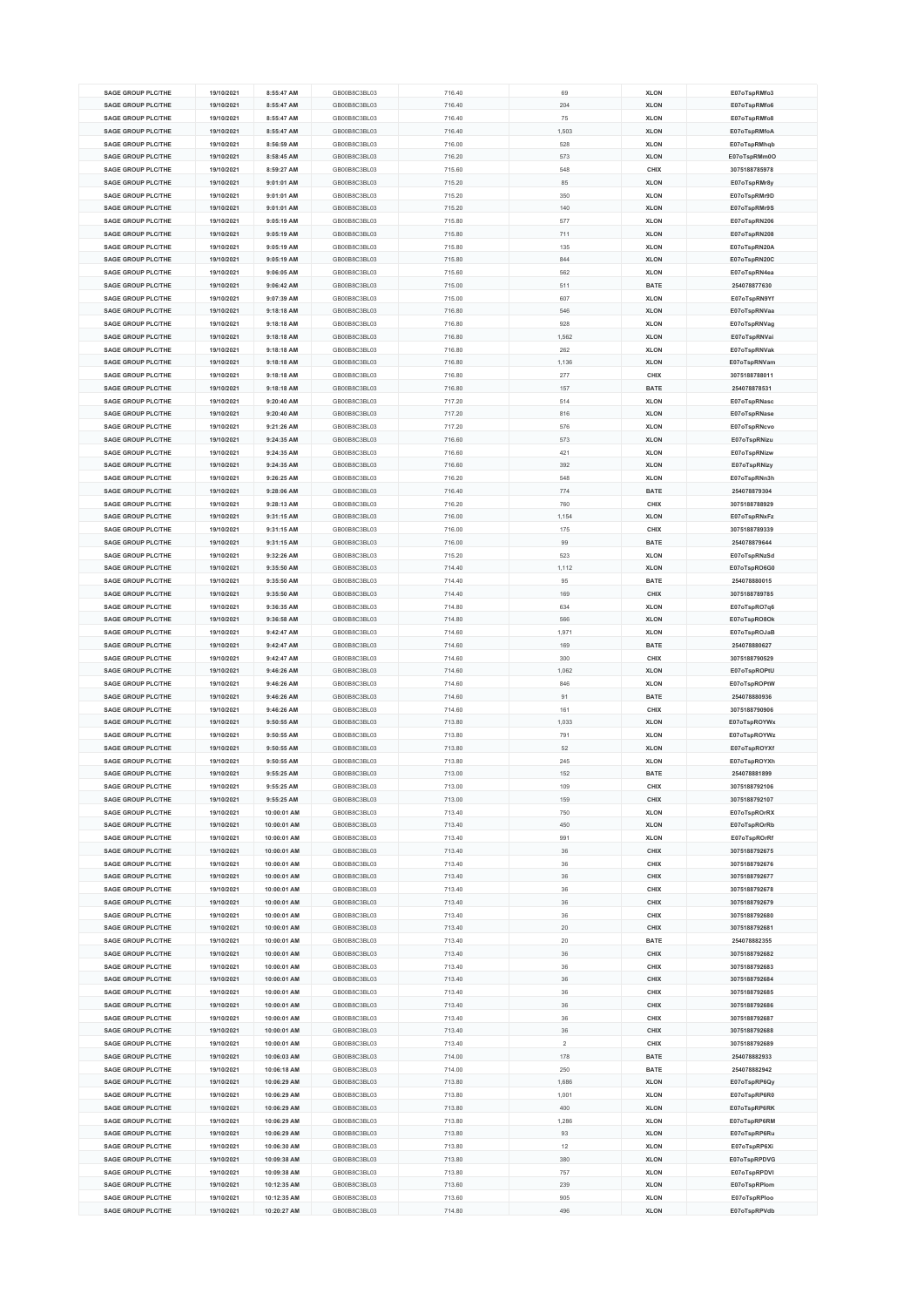| <b>SAGE GROUP PLC/THE</b>                              | 19/10/2021               | 8:55:47 AM                 | GB00B8C3BL03                 | 716.40           | 69         | <b>XLON</b>                | E07oTspRMfo3                 |
|--------------------------------------------------------|--------------------------|----------------------------|------------------------------|------------------|------------|----------------------------|------------------------------|
|                                                        |                          |                            |                              |                  |            |                            |                              |
| <b>SAGE GROUP PLC/THE</b>                              | 19/10/2021               | 8:55:47 AM                 | GB00B8C3BL03                 | 716.40           | 204        | <b>XLON</b>                | E07oTspRMfo6                 |
| SAGE GROUP PLC/THE                                     | 19/10/2021               | 8:55:47 AM                 | GB00B8C3BL03                 | 716.40           | 75         | <b>XLON</b>                | E07oTspRMfo8                 |
| <b>SAGE GROUP PLC/THE</b>                              | 19/10/2021               | 8:55:47 AM                 | GB00B8C3BL03                 | 716.40           | 1,503      | <b>XLON</b>                | E07oTspRMfoA                 |
|                                                        |                          |                            |                              |                  |            |                            |                              |
| <b>SAGE GROUP PLC/THE</b>                              | 19/10/2021               | 8:56:59 AM                 | GB00B8C3BL03                 | 716.00           | 528        | <b>XLON</b>                | E07oTspRMhqb                 |
| <b>SAGE GROUP PLC/THE</b>                              | 19/10/2021               | 8:58:45 AM                 | GB00B8C3BL03                 | 716.20           | 573        | <b>XLON</b>                | E07oTspRMm0O                 |
|                                                        |                          |                            | GB00B8C3BL03                 |                  |            |                            |                              |
| <b>SAGE GROUP PLC/THE</b>                              | 19/10/2021               | 8:59:27 AM                 |                              | 715.60           | 548        | CHIX                       | 3075188785978                |
| <b>SAGE GROUP PLC/THE</b>                              | 19/10/2021               | 9:01:01 AM                 | GB00B8C3BL03                 | 715.20           | 85         | <b>XLON</b>                | E07oTspRMr8y                 |
| <b>SAGE GROUP PLC/THE</b>                              | 19/10/2021               | 9:01:01 AM                 | GB00B8C3BL03                 | 715.20           | 350        | <b>XLON</b>                | E07oTspRMr9D                 |
|                                                        |                          |                            |                              |                  |            |                            | E07oTspRMr9S                 |
| <b>SAGE GROUP PLC/THE</b>                              | 19/10/2021               | 9:01:01 AM                 | GB00B8C3BL03                 | 715.20           | 140        | <b>XLON</b>                |                              |
| <b>SAGE GROUP PLC/THE</b>                              | 19/10/2021               | 9:05:19 AM                 | GB00B8C3BL03                 | 715.80           | 577        | <b>XLON</b>                | E07oTspRN206                 |
| <b>SAGE GROUP PLC/THE</b>                              | 19/10/2021               | 9:05:19 AM                 | GB00B8C3BL03                 | 715.80           | 711        | <b>XLON</b>                | E07oTspRN208                 |
|                                                        |                          |                            |                              |                  |            |                            |                              |
| <b>SAGE GROUP PLC/THE</b>                              | 19/10/2021               | 9:05:19 AM                 | GB00B8C3BL03                 | 715.80           | 135        | <b>XLON</b>                | E07oTspRN20A                 |
| <b>SAGE GROUP PLC/THE</b>                              | 19/10/2021               | 9:05:19 AM                 | GB00B8C3BL03                 | 715.80           | 844        | <b>XLON</b>                | E07oTspRN20C                 |
| <b>SAGE GROUP PLC/THE</b>                              | 19/10/2021               | 9:06:05 AM                 | GB00B8C3BL03                 | 715.60           | 562        | <b>XLON</b>                | E07oTspRN4ea                 |
|                                                        |                          |                            |                              |                  |            |                            |                              |
| <b>SAGE GROUP PLC/THE</b>                              | 19/10/2021               | $9:06:42$ AM               | GB00B8C3BL03                 | 715.00           | 511        | <b>BATE</b>                | 254078877630                 |
| <b>SAGE GROUP PLC/THE</b>                              | 19/10/2021               | 9:07:39 AM                 | GB00B8C3BL03                 | 715.00           | 607        | <b>XLON</b>                | E07oTspRN9Yf                 |
| <b>SAGE GROUP PLC/THE</b>                              | 19/10/2021               | 9:18:18 AM                 | GB00B8C3BL03                 | 716.80           | 546        | <b>XLON</b>                | E07oTspRNVaa                 |
|                                                        |                          |                            |                              |                  |            |                            |                              |
| <b>SAGE GROUP PLC/THE</b>                              | 19/10/2021               | 9:18:18 AM                 | GB00B8C3BL03                 | 716.80           | 928        | <b>XLON</b>                | E07oTspRNVag                 |
| <b>SAGE GROUP PLC/THE</b>                              | 19/10/2021               | 9:18:18 AM                 | GB00B8C3BL03                 | 716.80           | 1.562      | <b>XLON</b>                | E07oTspRNVai                 |
| <b>SAGE GROUP PLC/THE</b>                              | 19/10/2021               | 9:18:18 AM                 | GB00B8C3BL03                 | 716.80           | 262        | <b>XLON</b>                | E07oTspRNVak                 |
| <b>SAGE GROUP PLC/THE</b>                              | 19/10/2021               | 9:18:18 AM                 | GB00B8C3BL03                 | 716.80           | 1,136      | <b>XLON</b>                | E07oTspRNVam                 |
|                                                        |                          |                            |                              |                  |            |                            |                              |
| <b>SAGE GROUP PLC/THE</b>                              | 19/10/2021               | 9:18:18 AM                 | GB00B8C3BL03                 | 716.80           | 277        | CHIX                       | 3075188788011                |
| <b>SAGE GROUP PLC/THE</b>                              | 19/10/2021               | 9:18:18 AM                 | GB00B8C3BL03                 | 716.80           | 157        | <b>BATE</b>                | 254078878531                 |
| <b>SAGE GROUP PLC/THE</b>                              | 19/10/2021               | 9:20:40 AM                 | GB00B8C3BL03                 | 717.20           | 514        | <b>XLON</b>                | E07oTspRNasc                 |
|                                                        |                          |                            |                              |                  |            |                            |                              |
| <b>SAGE GROUP PLC/THE</b>                              | 19/10/2021               | 9:20:40 AM                 | GB00B8C3BL03                 | 717.20           | 816        | <b>XLON</b>                | E07oTspRNase                 |
| <b>SAGE GROUP PLC/THE</b>                              | 19/10/2021               | 9:21:26 AM                 | GB00B8C3BL03                 | 717.20           | 576        | <b>XLON</b>                | E07oTspRNcvo                 |
| SAGE GROUP PLC/THE                                     | 19/10/2021               | 9:24:35 AM                 | GB00B8C3BL03                 | 716.60           | 573        | <b>XLON</b>                |                              |
|                                                        |                          |                            |                              |                  |            |                            | E07oTspRNizu                 |
| <b>SAGE GROUP PLC/THE</b>                              | 19/10/2021               | 9:24:35 AM                 | GB00B8C3BL03                 | 716.60           | 421        | <b>XLON</b>                | E07oTspRNizw                 |
| SAGE GROUP PLC/THE                                     | 19/10/2021               | 9:24:35 AM                 | GB00B8C3BL03                 | 716.60           | 392        | <b>XLON</b>                | E07oTspRNizy                 |
| <b>SAGE GROUP PLC/THE</b>                              | 19/10/2021               | 9:26:25 AM                 | GB00B8C3BL03                 | 716.20           | 548        | <b>XLON</b>                | E07oTspRNn3h                 |
|                                                        |                          |                            |                              |                  |            |                            |                              |
| <b>SAGE GROUP PLC/THE</b>                              | 19/10/2021               | 9:28:06 AM                 | GB00B8C3BL03                 | 716.40           | 774        | <b>BATE</b>                | 254078879304                 |
| <b>SAGE GROUP PLC/THE</b>                              | 19/10/2021               | 9:28:13 AM                 | GB00B8C3BL03                 | 716.20           | 760        | CHIX                       | 3075188788929                |
| SAGE GROUP PLC/THE                                     |                          |                            | GB00B8C3BL03                 |                  |            | <b>XLON</b>                |                              |
|                                                        | 19/10/2021               | 9:31:15 AM                 |                              | 716.00           | 1,154      |                            | E07oTspRNxFz                 |
| <b>SAGE GROUP PLC/THE</b>                              | 19/10/2021               | 9:31:15 AM                 | GB00B8C3BL03                 | 716.00           | 175        | CHIX                       | 3075188789339                |
| <b>SAGE GROUP PLC/THE</b>                              | 19/10/2021               | 9:31:15 AM                 | GB00B8C3BL03                 | 716.00           | 99         | <b>BATE</b>                | 254078879644                 |
| <b>SAGE GROUP PLC/THE</b>                              |                          |                            |                              |                  |            |                            |                              |
|                                                        | 19/10/2021               | 9:32:26 AM                 | GB00B8C3BL03                 | 715.20           | 523        | <b>XLON</b>                | E07oTspRNzSd                 |
| <b>SAGE GROUP PLC/THE</b>                              | 19/10/2021               | 9:35:50 AM                 | GB00B8C3BL03                 | 714.40           | 1,112      | <b>XLON</b>                | E07oTspRO6G0                 |
| <b>SAGE GROUP PLC/THE</b>                              | 19/10/2021               | 9:35:50 AM                 | GB00B8C3BL03                 | 714.40           | 95         | <b>BATE</b>                | 254078880015                 |
| <b>SAGE GROUP PLC/THE</b>                              | 19/10/2021               | 9:35:50 AM                 | GB00B8C3BL03                 | 714.40           | 169        | CHIX                       | 3075188789785                |
|                                                        |                          |                            |                              |                  |            |                            |                              |
| <b>SAGE GROUP PLC/THE</b>                              | 19/10/2021               | 9:36:35 AM                 | GB00B8C3BL03                 | 714.80           | 634        | <b>XLON</b>                | E07oTspRO7q6                 |
| <b>SAGE GROUP PLC/THE</b>                              | 19/10/2021               | 9:36:58 AM                 | GB00B8C3BL03                 | 714.80           | 566        | <b>XLON</b>                | E07oTspRO8Ok                 |
| <b>SAGE GROUP PLC/THE</b>                              | 19/10/2021               | 9:42:47 AM                 | GB00B8C3BL03                 | 714.60           |            | <b>XLON</b>                | E07oTspROJaB                 |
|                                                        |                          |                            |                              |                  |            |                            |                              |
|                                                        |                          |                            |                              |                  | 1,971      |                            |                              |
| <b>SAGE GROUP PLC/THE</b>                              | 19/10/2021               | 9:42:47 AM                 | GB00B8C3BL03                 | 714.60           | 169        | <b>BATE</b>                | 254078880627                 |
| <b>SAGE GROUP PLC/THE</b>                              | 19/10/2021               | 9:42:47 AM                 | GB00B8C3BL03                 | 714.60           | 300        | CHIX                       | 3075188790529                |
|                                                        |                          |                            |                              |                  |            |                            |                              |
| <b>SAGE GROUP PLC/THE</b>                              | 19/10/2021               | 9:46:26 AM                 | GB00B8C3BL03                 | 714.60           | 1,062      | <b>XLON</b>                | E07oTspROPtU                 |
| <b>SAGE GROUP PLC/THE</b>                              | 19/10/2021               | 9:46:26 AM                 | GB00B8C3BL03                 | 714.60           | 846        | <b>XLON</b>                | E07oTspROPtW                 |
| <b>SAGE GROUP PLC/THE</b>                              | 19/10/2021               | 9:46:26 AM                 | GB00B8C3BL03                 | 714.60           | 91         | <b>BATE</b>                | 254078880936                 |
| <b>SAGE GROUP PLC/THE</b>                              | 19/10/2021               | 9:46:26 AM                 | GB00B8C3BL03                 | 714.60           | 161        | CHIX                       | 3075188790906                |
|                                                        |                          |                            |                              |                  |            |                            |                              |
| <b>SAGE GROUP PLC/THE</b>                              | 19/10/2021               | 9:50:55 AM                 | GB00B8C3BL03                 | 713.80           | 1,033      | <b>XLON</b>                | E07oTspROYWx                 |
| <b>SAGE GROUP PLC/THE</b>                              | 19/10/2021               | 9:50:55 AM                 | GB00B8C3BL03                 | 713.80           | 791        | <b>XLON</b>                | E07oTspROYWz                 |
|                                                        |                          |                            |                              |                  |            |                            |                              |
| <b>SAGE GROUP PLC/THE</b>                              | 19/10/2021               | 9:50:55 AM                 | GB00B8C3BL03                 | 713.80           | 52         | <b>XLON</b>                | E07oTspROYXf                 |
| <b>SAGE GROUP PLC/THE</b>                              | 19/10/2021               | 9:50:55 AM                 | GB00B8C3BL03                 | 713.80           | 245        | <b>XLON</b>                | E07oTspROYXh                 |
| <b>SAGE GROUP PLC/THE</b>                              | 19/10/2021               | 9:55:25 AM                 | GB00B8C3BL03                 | 713.00           | 152        | <b>BATE</b>                | 254078881899                 |
| <b>SAGE GROUP PLC/THE</b>                              | 19/10/2021               | 9:55:25 AM                 | GB00B8C3BL03                 | 713.00           | 109        | CHIX                       | 3075188792106                |
|                                                        |                          |                            |                              |                  |            |                            |                              |
| <b>SAGE GROUP PLC/THE</b>                              | 19/10/2021               | 9:55:25 AM                 | GB00B8C3BL03                 | 713.00           | 159        | CHIX                       | 3075188792107                |
| <b>SAGE GROUP PLC/THE</b>                              | 19/10/2021               | 10:00:01 AM                | GB00B8C3BL03                 | 713.40           | 750        | <b>XLON</b>                | E07oTspROrRX                 |
| <b>SAGE GROUP PLC/THE</b>                              | 19/10/2021               | 10:00:01 AM                | GB00B8C3BL03                 | 713.40           | 450        | <b>XLON</b>                | E07oTspROrRb                 |
|                                                        |                          |                            |                              |                  |            |                            |                              |
| <b>SAGE GROUP PLC/THE</b>                              | 19/10/2021               | 10:00:01 AM                | GB00B8C3BL03                 | 713.40           | 991        | <b>XLON</b>                | E07oTspROrRf                 |
| <b>SAGE GROUP PLC/THE</b>                              | 19/10/2021               | 10:00:01 AM                | GB00B8C3BL03                 | 713.40           | $36\,$     | CHIX                       | 3075188792675                |
| <b>SAGE GROUP PLC/THE</b>                              | 19/10/2021               | 10:00:01 AM                | GB00B8C3BL03                 | 713.40           | 36         | <b>CHIX</b>                | 3075188792676                |
| <b>SAGE GROUP PLC/THE</b>                              |                          |                            |                              |                  | 36         |                            |                              |
|                                                        | 19/10/2021               | 10:00:01 AM                | GB00B8C3BL03                 | 713.40           |            | CHIX                       | 3075188792677                |
| <b>SAGE GROUP PLC/THE</b>                              | 19/10/2021               | 10:00:01 AM                | GB00B8C3BL03                 | 713.40           | 36         | <b>CHIX</b>                | 3075188792678                |
| <b>SAGE GROUP PLC/THE</b>                              | 19/10/2021               | 10:00:01 AM                | GB00B8C3BL03                 | 713.40           | 36         | CHIX                       | 3075188792679                |
| <b>SAGE GROUP PLC/THE</b>                              | 19/10/2021               | 10:00:01 AM                | GB00B8C3BL03                 | 713.40           | 36         |                            | 3075188792680                |
|                                                        |                          |                            |                              |                  |            | <b>CHIX</b>                |                              |
| SAGE GROUP PLC/THE                                     | 19/10/2021               | 10:00:01 AM                | GB00B8C3BL03                 | 713.40           | 20         | CHIX                       | 3075188792681                |
| <b>SAGE GROUP PLC/THE</b>                              | 19/10/2021               | 10:00:01 AM                | GB00B8C3BL03                 | 713.40           | 20         | <b>BATE</b>                | 254078882355                 |
| <b>SAGE GROUP PLC/THE</b>                              | 19/10/2021               | 10:00:01 AM                | GB00B8C3BL03                 | 713.40           | 36         | CHIX                       | 3075188792682                |
|                                                        |                          |                            |                              |                  |            |                            |                              |
| <b>SAGE GROUP PLC/THE</b>                              | 19/10/2021               | 10:00:01 AM                | GB00B8C3BL03                 | 713.40           | 36         | <b>CHIX</b>                | 3075188792683                |
| <b>SAGE GROUP PLC/THE</b>                              | 19/10/2021               | 10:00:01 AM                | GB00B8C3BL03                 | 713.40           | 36         | CHIX                       | 3075188792684                |
| <b>SAGE GROUP PLC/THE</b>                              | 19/10/2021               | 10:00:01 AM                | GB00B8C3BL03                 | 713.40           | 36         | <b>CHIX</b>                | 3075188792685                |
|                                                        |                          |                            |                              |                  |            |                            |                              |
| <b>SAGE GROUP PLC/THE</b>                              | 19/10/2021               | 10:00:01 AM                | GB00B8C3BL03                 | 713.40           | 36         | CHIX                       | 3075188792686                |
| <b>SAGE GROUP PLC/THE</b>                              | 19/10/2021               | 10:00:01 AM                | GB00B8C3BL03                 | 713.40           | 36         | <b>CHIX</b>                | 3075188792687                |
| <b>SAGE GROUP PLC/THE</b>                              | 19/10/2021               | 10:00:01 AM                | GB00B8C3BL03                 | 713.40           | 36         | <b>CHIX</b>                | 3075188792688                |
|                                                        |                          |                            |                              |                  |            |                            |                              |
| <b>SAGE GROUP PLC/THE</b>                              | 19/10/2021               | 10:00:01 AM                | GB00B8C3BL03                 | 713.40           | $\,2\,$    | CHIX                       | 3075188792689                |
| <b>SAGE GROUP PLC/THE</b>                              | 19/10/2021               | 10:06:03 AM                | GB00B8C3BL03                 | 714.00           | 178        | <b>BATE</b>                | 254078882933                 |
| <b>SAGE GROUP PLC/THE</b>                              | 19/10/2021               | 10:06:18 AM                | GB00B8C3BL03                 | 714.00           | 250        | <b>BATE</b>                | 254078882942                 |
| <b>SAGE GROUP PLC/THE</b>                              |                          |                            | GB00B8C3BL03                 |                  |            |                            |                              |
|                                                        | 19/10/2021               | 10:06:29 AM                |                              | 713.80           | 1,686      | <b>XLON</b>                | E07oTspRP6Qy                 |
| <b>SAGE GROUP PLC/THE</b>                              | 19/10/2021               | 10:06:29 AM                | GB00B8C3BL03                 | 713.80           | 1,001      | <b>XLON</b>                | E07oTspRP6R0                 |
| <b>SAGE GROUP PLC/THE</b>                              | 19/10/2021               | 10:06:29 AM                | GB00B8C3BL03                 | 713.80           | 400        | <b>XLON</b>                | E07oTspRP6RK                 |
| <b>SAGE GROUP PLC/THE</b>                              | 19/10/2021               | 10:06:29 AM                | GB00B8C3BL03                 | 713.80           | 1,286      | <b>XLON</b>                | E07oTspRP6RM                 |
|                                                        |                          |                            | GB00B8C3BL03                 |                  |            |                            |                              |
| <b>SAGE GROUP PLC/THE</b>                              | 19/10/2021               | 10:06:29 AM                |                              | 713.80           | 93         | <b>XLON</b>                | E07oTspRP6Ru                 |
| <b>SAGE GROUP PLC/THE</b>                              | 19/10/2021               | 10:06:30 AM                | GB00B8C3BL03                 | 713.80           | 12         | <b>XLON</b>                | E07oTspRP6Xi                 |
| <b>SAGE GROUP PLC/THE</b>                              | 19/10/2021               | 10:09:38 AM                | GB00B8C3BL03                 | 713.80           | 380        | <b>XLON</b>                | E07oTspRPDVG                 |
| <b>SAGE GROUP PLC/THE</b>                              | 19/10/2021               | 10:09:38 AM                | GB00B8C3BL03                 | 713.80           | 757        | <b>XLON</b>                | E07oTspRPDVI                 |
|                                                        |                          |                            |                              |                  |            |                            |                              |
| <b>SAGE GROUP PLC/THE</b>                              | 19/10/2021               | 10:12:35 AM                | GB00B8C3BL03                 | 713.60           | 239        | <b>XLON</b>                | E07oTspRPlom                 |
| <b>SAGE GROUP PLC/THE</b><br><b>SAGE GROUP PLC/THE</b> | 19/10/2021<br>19/10/2021 | 10:12:35 AM<br>10:20:27 AM | GB00B8C3BL03<br>GB00B8C3BL03 | 713.60<br>714.80 | 905<br>496 | <b>XLON</b><br><b>XLON</b> | E07oTspRPloo<br>E07oTspRPVdb |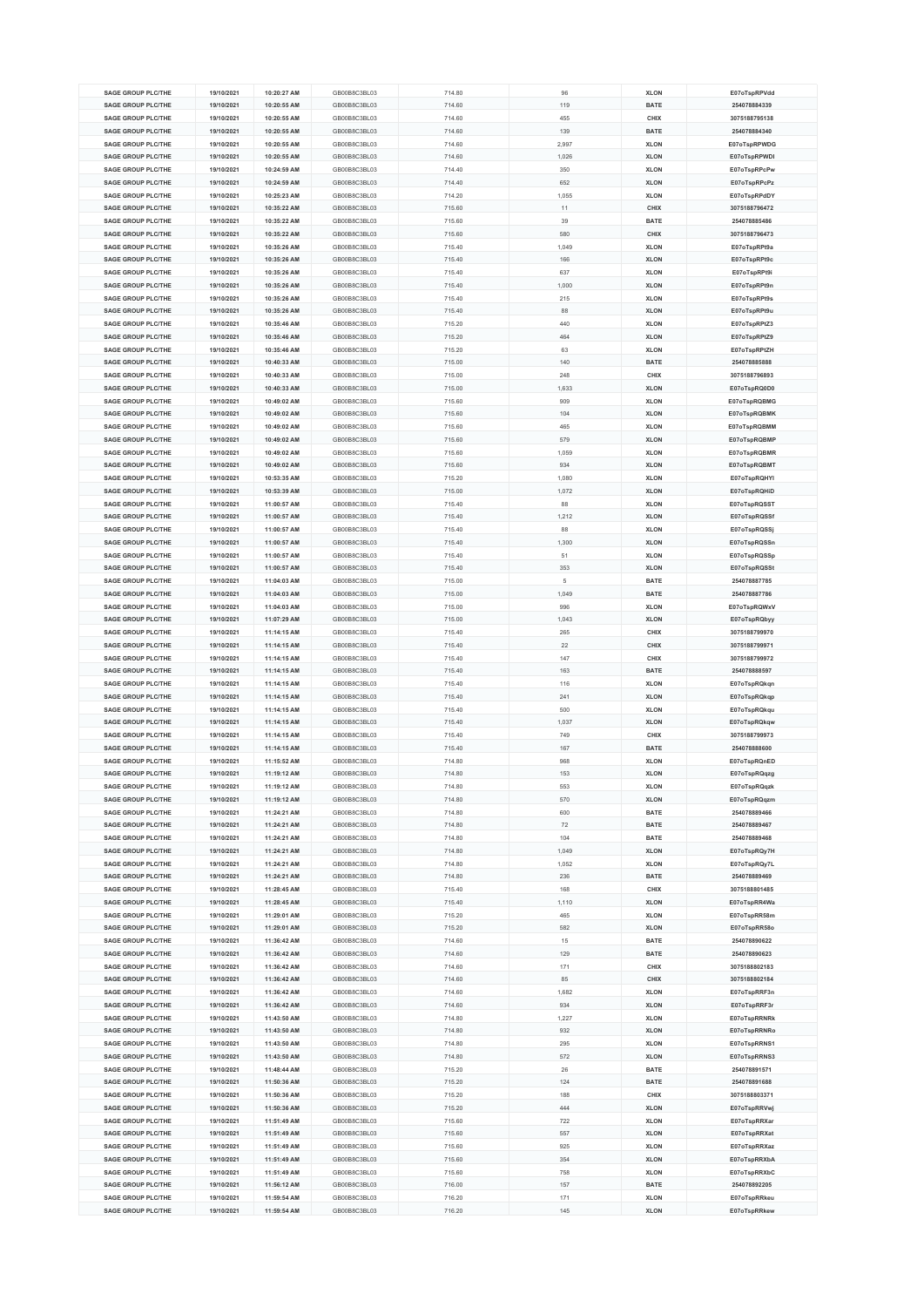| <b>SAGE GROUP PLC/THE</b> | 19/10/2021 | 10:20:27 AM | GB00B8C3BL03 | 714.80 | 96    | <b>XLON</b> | E07oTspRPVdd  |
|---------------------------|------------|-------------|--------------|--------|-------|-------------|---------------|
|                           |            |             |              |        |       |             |               |
| <b>SAGE GROUP PLC/THE</b> | 19/10/2021 | 10:20:55 AM | GB00B8C3BL03 | 714.60 | 119   | <b>BATE</b> | 254078884339  |
| <b>SAGE GROUP PLC/THE</b> | 19/10/2021 | 10:20:55 AM | GB00B8C3BL03 | 714.60 | 455   | CHIX        | 3075188795138 |
| <b>SAGE GROUP PLC/THE</b> | 19/10/2021 | 10:20:55 AM | GB00B8C3BL03 | 714.60 | 139   | <b>BATE</b> | 254078884340  |
| <b>SAGE GROUP PLC/THE</b> | 19/10/2021 | 10:20:55 AM | GB00B8C3BL03 | 714.60 | 2,997 | <b>XLON</b> | E07oTspRPWDG  |
|                           |            |             |              |        |       |             |               |
| <b>SAGE GROUP PLC/THE</b> | 19/10/2021 | 10:20:55 AM | GB00B8C3BL03 | 714.60 | 1,026 | <b>XLON</b> | E07oTspRPWDI  |
| <b>SAGE GROUP PLC/THE</b> | 19/10/2021 | 10:24:59 AM | GB00B8C3BL03 | 714.40 | 350   | <b>XLON</b> | E07oTspRPcPw  |
| <b>SAGE GROUP PLC/THE</b> | 19/10/2021 | 10:24:59 AM | GB00B8C3BL03 | 714.40 | 652   | <b>XLON</b> | E07oTspRPcPz  |
| <b>SAGE GROUP PLC/THE</b> | 19/10/2021 | 10:25:23 AM | GB00B8C3BL03 | 714.20 | 1,055 | <b>XLON</b> | E07oTspRPdDY  |
| <b>SAGE GROUP PLC/THE</b> | 19/10/2021 | 10:35:22 AM | GB00B8C3BL03 | 715.60 | 11    | CHIX        | 3075188796472 |
|                           |            |             |              |        |       |             |               |
| <b>SAGE GROUP PLC/THE</b> | 19/10/2021 | 10:35:22 AM | GB00B8C3BL03 | 715.60 | 39    | <b>BATE</b> | 254078885486  |
| <b>SAGE GROUP PLC/THE</b> | 19/10/2021 | 10:35:22 AM | GB00B8C3BL03 | 715.60 | 580   | CHIX        | 3075188796473 |
| <b>SAGE GROUP PLC/THE</b> | 19/10/2021 | 10:35:26 AM | GB00B8C3BL03 | 715.40 | 1.049 | <b>XLON</b> | E07oTspRPt9a  |
| <b>SAGE GROUP PLC/THE</b> | 19/10/2021 | 10:35:26 AM | GB00B8C3BL03 | 715.40 | 166   | <b>XLON</b> | E07oTspRPt9c  |
| <b>SAGE GROUP PLC/THE</b> | 19/10/2021 | 10:35:26 AM | GB00B8C3BL03 | 715.40 | 637   | <b>XLON</b> | E07oTspRPt9i  |
|                           |            |             |              |        |       |             |               |
| <b>SAGE GROUP PLC/THE</b> | 19/10/2021 | 10:35:26 AM | GB00B8C3BL03 | 715.40 | 1,000 | <b>XLON</b> | E07oTspRPt9n  |
| <b>SAGE GROUP PLC/THE</b> | 19/10/2021 | 10:35:26 AM | GB00B8C3BL03 | 715.40 | 215   | <b>XLON</b> | E07oTspRPt9s  |
| <b>SAGE GROUP PLC/THE</b> | 19/10/2021 | 10:35:26 AM | GB00B8C3BL03 | 715.40 | 88    | <b>XLON</b> | E07oTspRPt9u  |
| <b>SAGE GROUP PLC/THE</b> | 19/10/2021 | 10:35:46 AM | GB00B8C3BL03 | 715.20 | 440   | <b>XLON</b> | E07oTspRPtZ3  |
| <b>SAGE GROUP PLC/THE</b> | 19/10/2021 | 10:35:46 AM | GB00B8C3BL03 | 715.20 | 464   | <b>XLON</b> | E07oTspRPtZ9  |
| <b>SAGE GROUP PLC/THE</b> |            |             |              |        |       |             |               |
|                           | 19/10/2021 | 10:35:46 AM | GB00B8C3BL03 | 715.20 | 63    | <b>XLON</b> | E07oTspRPtZH  |
| <b>SAGE GROUP PLC/THE</b> | 19/10/2021 | 10:40:33 AM | GB00B8C3BL03 | 715.00 | 140   | <b>BATE</b> | 254078885888  |
| <b>SAGE GROUP PLC/THE</b> | 19/10/2021 | 10:40:33 AM | GB00B8C3BL03 | 715.00 | 248   | CHIX        | 3075188796893 |
| <b>SAGE GROUP PLC/THE</b> | 19/10/2021 | 10:40:33 AM | GB00B8C3BL03 | 715.00 | 1,633 | <b>XLON</b> | E07oTspRQ0D0  |
| SAGE GROUP PLC/THE        | 19/10/2021 | 10:49:02 AM | GB00B8C3BL03 | 715.60 | 909   | <b>XLON</b> | E07oTspRQBMG  |
| <b>SAGE GROUP PLC/THE</b> | 19/10/2021 | 10:49:02 AM | GB00B8C3BL03 | 715.60 | 104   | <b>XLON</b> | E07oTspRQBMK  |
|                           |            |             |              |        |       |             |               |
| <b>SAGE GROUP PLC/THE</b> | 19/10/2021 | 10:49:02 AM | GB00B8C3BL03 | 715.60 | 465   | <b>XLON</b> | E07oTspRQBMM  |
| <b>SAGE GROUP PLC/THE</b> | 19/10/2021 | 10:49:02 AM | GB00B8C3BL03 | 715.60 | 579   | <b>XLON</b> | E07oTspRQBMP  |
| <b>SAGE GROUP PLC/THE</b> | 19/10/2021 | 10:49:02 AM | GB00B8C3BL03 | 715.60 | 1,059 | <b>XLON</b> | E07oTspRQBMR  |
| SAGE GROUP PLC/THE        | 19/10/2021 | 10:49:02 AM | GB00B8C3BL03 | 715.60 | 934   | <b>XLON</b> | E07oTspRQBMT  |
| <b>SAGE GROUP PLC/THE</b> | 19/10/2021 | 10:53:35 AM | GB00B8C3BL03 | 715.20 | 1,080 | <b>XLON</b> | E07oTspRQHYI  |
|                           |            |             |              |        |       |             |               |
| <b>SAGE GROUP PLC/THE</b> | 19/10/2021 | 10:53:39 AM | GB00B8C3BL03 | 715.00 | 1,072 | <b>XLON</b> | E07oTspRQHiD  |
| <b>SAGE GROUP PLC/THE</b> | 19/10/2021 | 11:00:57 AM | GB00B8C3BL03 | 715.40 | 88    | <b>XLON</b> | E07oTspRQSST  |
| SAGE GROUP PLC/THE        | 19/10/2021 | 11:00:57 AM | GB00B8C3BL03 | 715.40 | 1.212 | <b>XLON</b> | E07oTspRQSSf  |
| <b>SAGE GROUP PLC/THE</b> | 19/10/2021 | 11:00:57 AM | GB00B8C3BL03 | 715.40 | 88    | <b>XLON</b> | E07oTspRQSSj  |
| <b>SAGE GROUP PLC/THE</b> | 19/10/2021 | 11:00:57 AM | GB00B8C3BL03 | 715.40 | 1,300 | <b>XLON</b> | E07oTspRQSSn  |
|                           |            |             |              |        |       |             |               |
| <b>SAGE GROUP PLC/THE</b> | 19/10/2021 | 11:00:57 AM | GB00B8C3BL03 | 715.40 | 51    | <b>XLON</b> | E07oTspRQSSp  |
| <b>SAGE GROUP PLC/THE</b> | 19/10/2021 | 11:00:57 AM | GB00B8C3BL03 | 715.40 | 353   | <b>XLON</b> | E07oTspRQSSt  |
| <b>SAGE GROUP PLC/THE</b> | 19/10/2021 | 11:04:03 AM | GB00B8C3BL03 | 715.00 | 5     | <b>BATE</b> | 254078887785  |
| <b>SAGE GROUP PLC/THE</b> | 19/10/2021 | 11:04:03 AM | GB00B8C3BL03 | 715.00 | 1,049 | <b>BATE</b> | 254078887786  |
| <b>SAGE GROUP PLC/THE</b> | 19/10/2021 | 11:04:03 AM | GB00B8C3BL03 | 715.00 | 996   | <b>XLON</b> | E07oTspRQWxV  |
| <b>SAGE GROUP PLC/THE</b> |            |             | GB00B8C3BL03 |        |       | <b>XLON</b> |               |
|                           | 19/10/2021 | 11:07:29 AM |              | 715.00 | 1,043 |             | E07oTspRQbyy  |
| <b>SAGE GROUP PLC/THE</b> | 19/10/2021 | 11:14:15 AM | GB00B8C3BL03 | 715.40 | 265   | CHIX        | 3075188799970 |
| <b>SAGE GROUP PLC/THE</b> | 19/10/2021 | 11:14:15 AM | GB00B8C3BL03 | 715.40 | 22    | <b>CHIX</b> | 3075188799971 |
| <b>SAGE GROUP PLC/THE</b> | 19/10/2021 | 11:14:15 AM | GB00B8C3BL03 | 715.40 | 147   | CHIX        | 3075188799972 |
| <b>SAGE GROUP PLC/THE</b> | 19/10/2021 | 11:14:15 AM | GB00B8C3BL03 | 715.40 | 163   | <b>BATE</b> | 254078888597  |
| <b>SAGE GROUP PLC/THE</b> | 19/10/2021 | 11:14:15 AM | GB00B8C3BL03 | 715.40 | 116   | <b>XLON</b> | E07oTspRQkqn  |
|                           |            |             |              |        |       |             |               |
| <b>SAGE GROUP PLC/THE</b> | 19/10/2021 | 11:14:15 AM | GB00B8C3BL03 | 715.40 | 241   | <b>XLON</b> | E07oTspRQkqp  |
| <b>SAGE GROUP PLC/THE</b> | 19/10/2021 | 11:14:15 AM | GB00B8C3BL03 | 715.40 | 500   | <b>XLON</b> | E07oTspRQkqu  |
| <b>SAGE GROUP PLC/THE</b> | 19/10/2021 | 11:14:15 AM | GB00B8C3BL03 | 715.40 | 1,037 | <b>XLON</b> | E07oTspRQkqw  |
| <b>SAGE GROUP PLC/THE</b> | 19/10/2021 | 11:14:15 AM | GB00B8C3BL03 | 715.40 | 749   | CHIX        | 3075188799973 |
| <b>SAGE GROUP PLC/THE</b> | 19/10/2021 | 11:14:15 AM | GB00B8C3BL03 | 715.40 | 167   | <b>BATE</b> | 254078888600  |
| <b>SAGE GROUP PLC/THE</b> | 19/10/2021 | 11:15:52 AM | GB00B8C3BL03 | 714.80 | 968   | <b>XLON</b> | E07oTspRQnED  |
|                           |            |             |              |        |       |             |               |
| <b>SAGE GROUP PLC/THE</b> | 19/10/2021 | 11:19:12 AM | GB00B8C3BL03 | 714.80 | 153   | <b>XLON</b> | E07oTspRQqzg  |
| <b>SAGE GROUP PLC/THE</b> | 19/10/2021 | 11:19:12 AM | GB00B8C3BL03 | 714.80 | 553   | <b>XLON</b> | E07oTspRQqzk  |
| <b>SAGE GROUP PLC/THE</b> | 19/10/2021 | 11:19:12 AM | GB00B8C3BL03 | 714.80 | 570   | <b>XLON</b> | E07oTspRQqzm  |
| <b>SAGE GROUP PLC/THE</b> | 19/10/2021 | 11:24:21 AM | GB00B8C3BL03 | 714.80 | 600   | <b>BATE</b> | 254078889466  |
| <b>SAGE GROUP PLC/THE</b> | 19/10/2021 | 11:24:21 AM | GB00B8C3BL03 | 714.80 | 72    | <b>BATE</b> | 254078889467  |
| <b>SAGE GROUP PLC/THE</b> |            |             | GB00B8C3BL03 |        |       |             | 254078889468  |
|                           | 19/10/2021 | 11:24:21 AM |              | 714.80 | 104   | <b>BATE</b> |               |
| <b>SAGE GROUP PLC/THE</b> | 19/10/2021 | 11:24:21 AM | GB00B8C3BL03 | 714.80 | 1,049 | <b>XLON</b> | E07oTspRQy7H  |
| <b>SAGE GROUP PLC/THE</b> | 19/10/2021 | 11:24:21 AM | GB00B8C3BL03 | 714.80 | 1,052 | <b>XLON</b> | E07oTspRQy7L  |
| <b>SAGE GROUP PLC/THE</b> | 19/10/2021 | 11:24:21 AM | GB00B8C3BL03 | 714.80 | 236   | <b>BATE</b> | 254078889469  |
| <b>SAGE GROUP PLC/THE</b> | 19/10/2021 | 11:28:45 AM | GB00B8C3BL03 | 715.40 | 168   | CHIX        | 3075188801485 |
| <b>SAGE GROUP PLC/THE</b> | 19/10/2021 | 11:28:45 AM | GB00B8C3BL03 | 715.40 | 1,110 | <b>XLON</b> | E07oTspRR4Wa  |
|                           |            |             |              |        |       |             |               |
| <b>SAGE GROUP PLC/THE</b> | 19/10/2021 | 11:29:01 AM | GB00B8C3BL03 | 715.20 | 465   | <b>XLON</b> | E07oTspRR58m  |
| <b>SAGE GROUP PLC/THE</b> | 19/10/2021 | 11:29:01 AM | GB00B8C3BL03 | 715.20 | 582   | <b>XLON</b> | E07oTspRR58o  |
| <b>SAGE GROUP PLC/THE</b> | 19/10/2021 | 11:36:42 AM | GB00B8C3BL03 | 714.60 | 15    | <b>BATE</b> | 254078890622  |
| <b>SAGE GROUP PLC/THE</b> |            | 11:36:42 AM | GB00B8C3BL03 | 714.60 | 129   | <b>BATE</b> | 254078890623  |
| <b>SAGE GROUP PLC/THE</b> | 19/10/2021 |             |              |        |       |             |               |
| <b>SAGE GROUP PLC/THE</b> | 19/10/2021 | 11:36:42 AM | GB00B8C3BL03 | 714.60 | 171   | CHIX        | 3075188802183 |
|                           |            |             |              |        |       |             |               |
| <b>SAGE GROUP PLC/THE</b> | 19/10/2021 | 11:36:42 AM | GB00B8C3BL03 | 714.60 | 85    | CHIX        | 3075188802184 |
| <b>SAGE GROUP PLC/THE</b> | 19/10/2021 | 11:36:42 AM | GB00B8C3BL03 | 714.60 | 1,682 | <b>XLON</b> | E07oTspRRF3n  |
|                           | 19/10/2021 | 11:36:42 AM | GB00B8C3BL03 | 714.60 | 934   | <b>XLON</b> | E07oTspRRF3r  |
| <b>SAGE GROUP PLC/THE</b> | 19/10/2021 | 11:43:50 AM | GB00B8C3BL03 | 714.80 | 1,227 | <b>XLON</b> | E07oTspRRNRk  |
| <b>SAGE GROUP PLC/THE</b> | 19/10/2021 | 11:43:50 AM | GB00B8C3BL03 | 714.80 | 932   | <b>XLON</b> | E07oTspRRNRo  |
| <b>SAGE GROUP PLC/THE</b> | 19/10/2021 | 11:43:50 AM | GB00B8C3BL03 | 714.80 | 295   | <b>XLON</b> | E07oTspRRNS1  |
| <b>SAGE GROUP PLC/THE</b> |            |             |              |        | 572   |             |               |
|                           | 19/10/2021 | 11:43:50 AM | GB00B8C3BL03 | 714.80 |       | <b>XLON</b> | E07oTspRRNS3  |
| <b>SAGE GROUP PLC/THE</b> | 19/10/2021 | 11:48:44 AM | GB00B8C3BL03 | 715.20 | 26    | <b>BATE</b> | 254078891571  |
| <b>SAGE GROUP PLC/THE</b> | 19/10/2021 | 11:50:36 AM | GB00B8C3BL03 | 715.20 | 124   | <b>BATE</b> | 254078891688  |
| <b>SAGE GROUP PLC/THE</b> | 19/10/2021 | 11:50:36 AM | GB00B8C3BL03 | 715.20 | 188   | CHIX        | 3075188803371 |
| <b>SAGE GROUP PLC/THE</b> | 19/10/2021 | 11:50:36 AM | GB00B8C3BL03 | 715.20 | 444   | <b>XLON</b> | E07oTspRRVwj  |
| <b>SAGE GROUP PLC/THE</b> | 19/10/2021 | 11:51:49 AM | GB00B8C3BL03 | 715.60 | 722   | <b>XLON</b> | E07oTspRRXar  |
|                           |            |             |              |        | 557   |             |               |
| <b>SAGE GROUP PLC/THE</b> | 19/10/2021 | 11:51:49 AM | GB00B8C3BL03 | 715.60 |       | <b>XLON</b> | E07oTspRRXat  |
| <b>SAGE GROUP PLC/THE</b> | 19/10/2021 | 11:51:49 AM | GB00B8C3BL03 | 715.60 | 925   | <b>XLON</b> | E07oTspRRXaz  |
| <b>SAGE GROUP PLC/THE</b> | 19/10/2021 | 11:51:49 AM | GB00B8C3BL03 | 715.60 | 354   | <b>XLON</b> | E07oTspRRXbA  |
| <b>SAGE GROUP PLC/THE</b> | 19/10/2021 | 11:51:49 AM | GB00B8C3BL03 | 715.60 | 758   | <b>XLON</b> | E07oTspRRXbC  |
| <b>SAGE GROUP PLC/THE</b> | 19/10/2021 | 11:56:12 AM | GB00B8C3BL03 | 716.00 | 157   | <b>BATE</b> | 254078892205  |
| <b>SAGE GROUP PLC/THE</b> | 19/10/2021 | 11:59:54 AM | GB00B8C3BL03 | 716.20 | 171   | <b>XLON</b> | E07oTspRRkeu  |
| <b>SAGE GROUP PLC/THE</b> | 19/10/2021 | 11:59:54 AM | GB00B8C3BL03 | 716.20 | 145   | <b>XLON</b> | E07oTspRRkew  |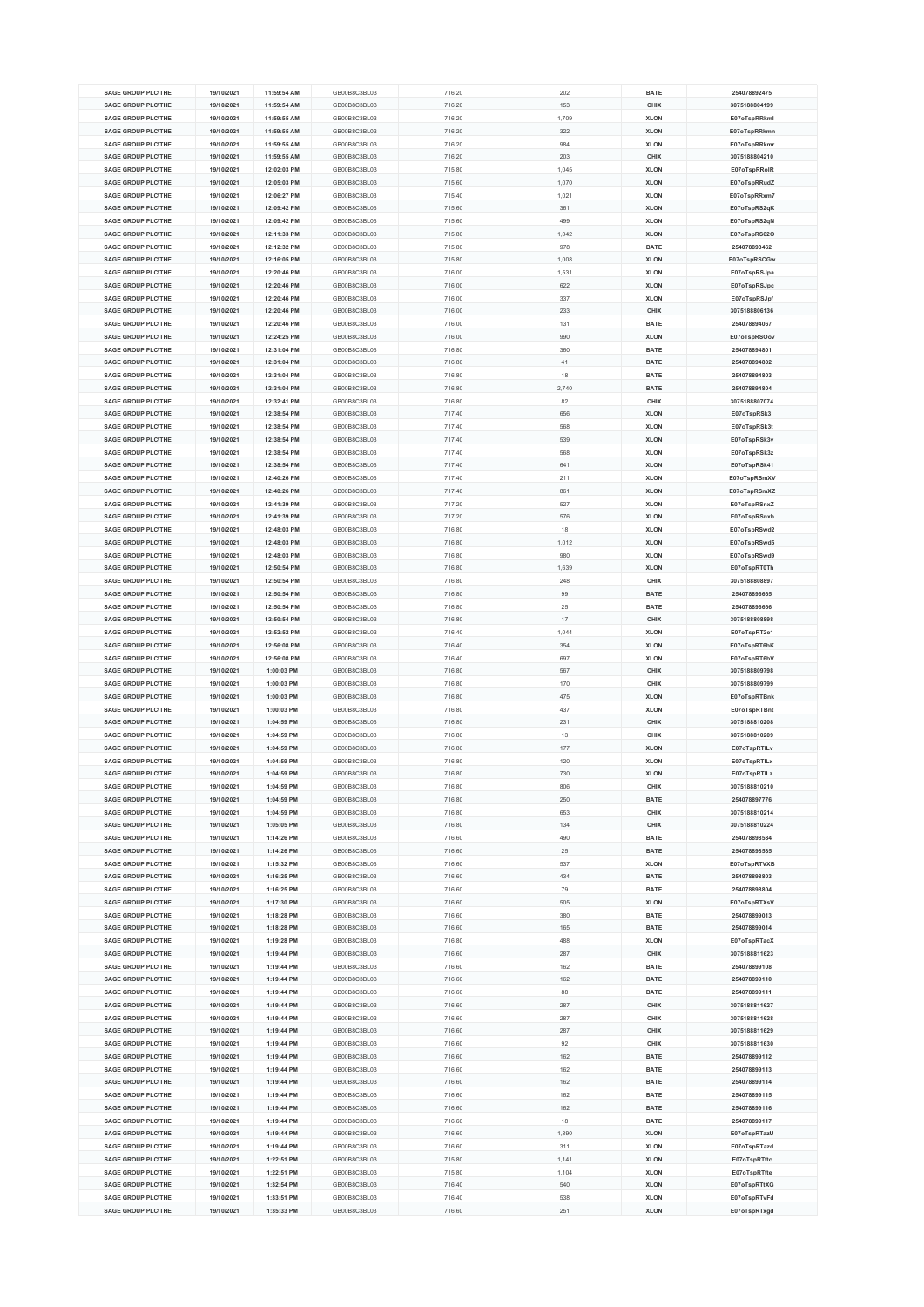| <b>SAGE GROUP PLC/THE</b> | 19/10/2021 | 11:59:54 AM | GB00B8C3BL03 | 716.20 | 202   | <b>BATE</b> | 254078892475  |
|---------------------------|------------|-------------|--------------|--------|-------|-------------|---------------|
|                           |            |             |              |        |       |             |               |
| <b>SAGE GROUP PLC/THE</b> | 19/10/2021 | 11:59:54 AM | GB00B8C3BL03 | 716.20 | 153   | CHIX        | 3075188804199 |
| <b>SAGE GROUP PLC/THE</b> | 19/10/2021 | 11:59:55 AM | GB00B8C3BL03 | 716.20 | 1,709 | <b>XLON</b> | E07oTspRRkml  |
| <b>SAGE GROUP PLC/THE</b> | 19/10/2021 | 11:59:55 AM | GB00B8C3BL03 | 716.20 | 322   | <b>XLON</b> | E07oTspRRkmn  |
| <b>SAGE GROUP PLC/THE</b> | 19/10/2021 | 11:59:55 AM | GB00B8C3BL03 | 716.20 | 984   | <b>XLON</b> | E07oTspRRkmr  |
| <b>SAGE GROUP PLC/THE</b> | 19/10/2021 | 11:59:55 AM | GB00B8C3BL03 | 716.20 | 203   | CHIX        | 3075188804210 |
|                           |            |             |              |        |       |             |               |
| <b>SAGE GROUP PLC/THE</b> | 19/10/2021 | 12:02:03 PM | GB00B8C3BL03 | 715.80 | 1,045 | <b>XLON</b> | E07oTspRRoIR  |
| <b>SAGE GROUP PLC/THE</b> | 19/10/2021 | 12:05:03 PM | GB00B8C3BL03 | 715.60 | 1,070 | <b>XLON</b> | E07oTspRRudZ  |
| <b>SAGE GROUP PLC/THE</b> | 19/10/2021 | 12:06:27 PM | GB00B8C3BL03 | 715.40 | 1,021 | <b>XLON</b> | E07oTspRRxm7  |
| <b>SAGE GROUP PLC/THE</b> | 19/10/2021 | 12:09:42 PM | GB00B8C3BL03 | 715.60 | 361   | <b>XLON</b> | E07oTspRS2qK  |
| <b>SAGE GROUP PLC/THE</b> | 19/10/2021 | 12:09:42 PM | GB00B8C3BL03 | 715.60 | 499   | <b>XLON</b> | E07oTspRS2qN  |
|                           |            |             |              |        |       |             |               |
| <b>SAGE GROUP PLC/THE</b> | 19/10/2021 | 12:11:33 PM | GB00B8C3BL03 | 715.80 | 1,042 | <b>XLON</b> | E07oTspRS62O  |
| <b>SAGE GROUP PLC/THE</b> | 19/10/2021 | 12:12:32 PM | GB00B8C3BL03 | 715.80 | 978   | <b>BATE</b> | 254078893462  |
| <b>SAGE GROUP PLC/THE</b> | 19/10/2021 | 12:16:05 PM | GB00B8C3BL03 | 715.80 | 1,008 | <b>XLON</b> | E07oTspRSCGw  |
| <b>SAGE GROUP PLC/THE</b> | 19/10/2021 | 12:20:46 PM | GB00B8C3BL03 | 716.00 | 1,531 | <b>XLON</b> | E07oTspRSJpa  |
| <b>SAGE GROUP PLC/THE</b> | 19/10/2021 | 12:20:46 PM | GB00B8C3BL03 | 716.00 | 622   | <b>XLON</b> |               |
|                           |            |             |              |        |       |             | E07oTspRSJpc  |
| <b>SAGE GROUP PLC/THE</b> | 19/10/2021 | 12:20:46 PM | GB00B8C3BL03 | 716.00 | 337   | <b>XLON</b> | E07oTspRSJpf  |
| <b>SAGE GROUP PLC/THE</b> | 19/10/2021 | 12:20:46 PM | GB00B8C3BL03 | 716.00 | 233   | CHIX        | 3075188806136 |
| <b>SAGE GROUP PLC/THE</b> | 19/10/2021 | 12:20:46 PM | GB00B8C3BL03 | 716.00 | 131   | <b>BATE</b> | 254078894067  |
| <b>SAGE GROUP PLC/THE</b> | 19/10/2021 | 12:24:25 PM | GB00B8C3BL03 | 716.00 | 990   | <b>XLON</b> | E07oTspRSOov  |
| <b>SAGE GROUP PLC/THE</b> | 19/10/2021 | 12:31:04 PM | GB00B8C3BL03 | 716.80 | 360   | <b>BATE</b> | 254078894801  |
|                           |            |             |              |        |       |             |               |
| <b>SAGE GROUP PLC/THE</b> | 19/10/2021 | 12:31:04 PM | GB00B8C3BL03 | 716.80 | 41    | <b>BATE</b> | 254078894802  |
| <b>SAGE GROUP PLC/THE</b> | 19/10/2021 | 12:31:04 PM | GB00B8C3BL03 | 716.80 | 18    | <b>BATE</b> | 254078894803  |
| <b>SAGE GROUP PLC/THE</b> | 19/10/2021 | 12:31:04 PM | GB00B8C3BL03 | 716.80 | 2,740 | <b>BATE</b> | 254078894804  |
| <b>SAGE GROUP PLC/THE</b> | 19/10/2021 | 12:32:41 PM | GB00B8C3BL03 | 716.80 | 82    | CHIX        | 3075188807074 |
| <b>SAGE GROUP PLC/THE</b> | 19/10/2021 | 12:38:54 PM | GB00B8C3BL03 | 717.40 | 656   | <b>XLON</b> | E07oTspRSk3i  |
| SAGE GROUP PLC/THE        | 19/10/2021 | 12:38:54 PM | GB00B8C3BL03 | 717.40 | 568   | <b>XLON</b> | E07oTspRSk3t  |
|                           |            |             |              |        |       |             |               |
| <b>SAGE GROUP PLC/THE</b> | 19/10/2021 | 12:38:54 PM | GB00B8C3BL03 | 717.40 | 539   | <b>XLON</b> | E07oTspRSk3v  |
| <b>SAGE GROUP PLC/THE</b> | 19/10/2021 | 12:38:54 PM | GB00B8C3BL03 | 717.40 | 568   | <b>XLON</b> | E07oTspRSk3z  |
| <b>SAGE GROUP PLC/THE</b> | 19/10/2021 | 12:38:54 PM | GB00B8C3BL03 | 717.40 | 641   | <b>XLON</b> | E07oTspRSk41  |
| <b>SAGE GROUP PLC/THE</b> | 19/10/2021 | 12:40:26 PM | GB00B8C3BL03 | 717.40 | 211   | <b>XLON</b> | E07oTspRSmXV  |
| <b>SAGE GROUP PLC/THE</b> | 19/10/2021 | 12:40:26 PM | GB00B8C3BL03 | 717.40 | 861   | <b>XLON</b> | E07oTspRSmXZ  |
|                           |            |             |              |        |       |             |               |
| <b>SAGE GROUP PLC/THE</b> | 19/10/2021 | 12:41:39 PM | GB00B8C3BL03 | 717.20 | 527   | <b>XLON</b> | E07oTspRSnxZ  |
| <b>SAGE GROUP PLC/THE</b> | 19/10/2021 | 12:41:39 PM | GB00B8C3BL03 | 717.20 | 576   | <b>XLON</b> | E07oTspRSnxb  |
| SAGE GROUP PLC/THE        | 19/10/2021 | 12:48:03 PM | GB00B8C3BL03 | 716.80 | 18    | <b>XLON</b> | E07oTspRSwd2  |
| <b>SAGE GROUP PLC/THE</b> | 19/10/2021 | 12:48:03 PM | GB00B8C3BL03 | 716.80 | 1,012 | <b>XLON</b> | E07oTspRSwd5  |
| <b>SAGE GROUP PLC/THE</b> |            | 12:48:03 PM | GB00B8C3BL03 |        | 980   | <b>XLON</b> |               |
|                           | 19/10/2021 |             |              | 716.80 |       |             | E07oTspRSwd9  |
| <b>SAGE GROUP PLC/THE</b> | 19/10/2021 | 12:50:54 PM | GB00B8C3BL03 | 716.80 | 1,639 | <b>XLON</b> | E07oTspRT0Th  |
| <b>SAGE GROUP PLC/THE</b> | 19/10/2021 | 12:50:54 PM | GB00B8C3BL03 | 716.80 | 248   | CHIX        | 3075188808897 |
| <b>SAGE GROUP PLC/THE</b> | 19/10/2021 | 12:50:54 PM | GB00B8C3BL03 | 716.80 | 99    | <b>BATE</b> | 254078896665  |
| <b>SAGE GROUP PLC/THE</b> | 19/10/2021 | 12:50:54 PM | GB00B8C3BL03 | 716.80 | 25    | <b>BATE</b> | 254078896666  |
| <b>SAGE GROUP PLC/THE</b> | 19/10/2021 | 12:50:54 PM | GB00B8C3BL03 | 716.80 | 17    | CHIX        | 3075188808898 |
|                           |            |             |              |        |       |             |               |
| <b>SAGE GROUP PLC/THE</b> | 19/10/2021 | 12:52:52 PM | GB00B8C3BL03 | 716.40 | 1,044 | <b>XLON</b> | E07oTspRT2e1  |
| <b>SAGE GROUP PLC/THE</b> | 19/10/2021 | 12:56:08 PM | GB00B8C3BL03 | 716.40 | 354   | <b>XLON</b> | E07oTspRT6bK  |
| <b>SAGE GROUP PLC/THE</b> | 19/10/2021 | 12:56:08 PM | GB00B8C3BL03 | 716.40 | 697   | <b>XLON</b> | E07oTspRT6bV  |
| <b>SAGE GROUP PLC/THE</b> | 19/10/2021 | 1:00:03 PM  | GB00B8C3BL03 | 716.80 | 567   | CHIX        | 3075188809798 |
| <b>SAGE GROUP PLC/THE</b> | 19/10/2021 | 1:00:03 PM  | GB00B8C3BL03 | 716.80 | 170   | CHIX        | 3075188809799 |
| <b>SAGE GROUP PLC/THE</b> |            |             | GB00B8C3BL03 |        | 475   |             | E07oTspRTBnk  |
|                           | 19/10/2021 | 1:00:03 PM  |              | 716.80 |       | <b>XLON</b> |               |
| <b>SAGE GROUP PLC/THE</b> | 19/10/2021 | 1:00:03 PM  | GB00B8C3BL03 | 716.80 | 437   | <b>XLON</b> | E07oTspRTBnt  |
| SAGE GROUP PLC/THE        | 19/10/2021 | 1:04:59 PM  | GB00B8C3BL03 | 716.80 | 231   | CHIX        | 3075188810208 |
| <b>SAGE GROUP PLC/THE</b> | 19/10/2021 | 1:04:59 PM  | GB00B8C3BL03 | 716.80 | 13    | CHIX        | 3075188810209 |
| SAGE GROUP PLC/THE        | 19/10/2021 | 1:04:59 PM  | GB00B8C3BL03 | 716.80 | 177   | <b>XLON</b> | E07oTspRTILv  |
| <b>SAGE GROUP PLC/THE</b> | 19/10/2021 | 1:04:59 PM  | GB00B8C3BL03 | 716.80 | 120   | <b>XLON</b> | E07oTspRTILx  |
| SAGE GROUP PLC/THE        |            |             | GB00B8C3BL03 |        |       |             |               |
|                           | 19/10/2021 | 1:04:59 PM  |              | 716.80 | 730   | <b>XLON</b> | E07oTspRTILz  |
| <b>SAGE GROUP PLC/THE</b> | 19/10/2021 | 1:04:59 PM  | GB00B8C3BL03 | 716.80 | 806   | CHIX        | 3075188810210 |
| <b>SAGE GROUP PLC/THE</b> | 19/10/2021 | 1:04:59 PM  | GB00B8C3BL03 | 716.80 | 250   | BATE        | 254078897776  |
| <b>SAGE GROUP PLC/THE</b> | 19/10/2021 | 1:04:59 PM  | GB00B8C3BL03 | 716.80 | 653   | CHIX        | 3075188810214 |
| <b>SAGE GROUP PLC/THE</b> | 19/10/2021 | 1:05:05 PM  | GB00B8C3BL03 | 716.80 | 134   | CHIX        | 3075188810224 |
| <b>SAGE GROUP PLC/THE</b> | 19/10/2021 | 1:14:26 PM  | GB00B8C3BL03 | 716.60 | 490   | BATE        | 254078898584  |
|                           |            |             |              |        |       |             |               |
| <b>SAGE GROUP PLC/THE</b> | 19/10/2021 | 1:14:26 PM  | GB00B8C3BL03 | 716.60 | 25    | <b>BATE</b> | 254078898585  |
| <b>SAGE GROUP PLC/THE</b> | 19/10/2021 | 1:15:32 PM  | GB00B8C3BL03 | 716.60 | 537   | <b>XLON</b> | E07oTspRTVXB  |
| <b>SAGE GROUP PLC/THE</b> | 19/10/2021 | 1:16:25 PM  | GB00B8C3BL03 | 716.60 | 434   | <b>BATE</b> | 254078898803  |
| <b>SAGE GROUP PLC/THE</b> | 19/10/2021 | 1:16:25 PM  | GB00B8C3BL03 | 716.60 | 79    | <b>BATE</b> | 254078898804  |
| <b>SAGE GROUP PLC/THE</b> | 19/10/2021 | 1:17:30 PM  | GB00B8C3BL03 | 716.60 | 505   | <b>XLON</b> | E07oTspRTXsV  |
| <b>SAGE GROUP PLC/THE</b> | 19/10/2021 | 1:18:28 PM  | GB00B8C3BL03 | 716.60 | 380   | BATE        | 254078899013  |
|                           |            |             |              |        |       |             |               |
| <b>SAGE GROUP PLC/THE</b> | 19/10/2021 | 1:18:28 PM  | GB00B8C3BL03 | 716.60 | 165   | <b>BATE</b> | 254078899014  |
| <b>SAGE GROUP PLC/THE</b> | 19/10/2021 | 1:19:28 PM  | GB00B8C3BL03 | 716.80 | 488   | <b>XLON</b> | E07oTspRTacX  |
| <b>SAGE GROUP PLC/THE</b> | 19/10/2021 | 1:19:44 PM  | GB00B8C3BL03 | 716.60 | 287   | CHIX        | 3075188811623 |
| <b>SAGE GROUP PLC/THE</b> | 19/10/2021 | 1:19:44 PM  | GB00B8C3BL03 | 716.60 | 162   | BATE        | 254078899108  |
| <b>SAGE GROUP PLC/THE</b> | 19/10/2021 | 1:19:44 PM  | GB00B8C3BL03 | 716.60 | 162   | <b>BATE</b> | 254078899110  |
| <b>SAGE GROUP PLC/THE</b> | 19/10/2021 | 1:19:44 PM  | GB00B8C3BL03 | 716.60 | 88    | <b>BATE</b> | 254078899111  |
|                           |            |             |              |        |       |             |               |
| <b>SAGE GROUP PLC/THE</b> | 19/10/2021 | 1:19:44 PM  | GB00B8C3BL03 | 716.60 | 287   | CHIX        | 3075188811627 |
| <b>SAGE GROUP PLC/THE</b> | 19/10/2021 | 1:19:44 PM  | GB00B8C3BL03 | 716.60 | 287   | CHIX        | 3075188811628 |
| <b>SAGE GROUP PLC/THE</b> | 19/10/2021 | 1:19:44 PM  | GB00B8C3BL03 | 716.60 | 287   | CHIX        | 3075188811629 |
| <b>SAGE GROUP PLC/THE</b> | 19/10/2021 | 1:19:44 PM  | GB00B8C3BL03 | 716.60 | 92    | CHIX        | 3075188811630 |
| <b>SAGE GROUP PLC/THE</b> | 19/10/2021 | 1:19:44 PM  | GB00B8C3BL03 | 716.60 | 162   | BATE        | 254078899112  |
| <b>SAGE GROUP PLC/THE</b> | 19/10/2021 | 1:19:44 PM  | GB00B8C3BL03 | 716.60 | 162   | BATE        | 254078899113  |
|                           |            |             |              |        |       |             |               |
| <b>SAGE GROUP PLC/THE</b> | 19/10/2021 | 1:19:44 PM  | GB00B8C3BL03 | 716.60 | 162   | BATE        | 254078899114  |
| <b>SAGE GROUP PLC/THE</b> | 19/10/2021 | 1:19:44 PM  | GB00B8C3BL03 | 716.60 | 162   | <b>BATE</b> | 254078899115  |
| <b>SAGE GROUP PLC/THE</b> | 19/10/2021 | 1:19:44 PM  | GB00B8C3BL03 | 716.60 | 162   | BATE        | 254078899116  |
| <b>SAGE GROUP PLC/THE</b> | 19/10/2021 | 1:19:44 PM  | GB00B8C3BL03 | 716.60 | 18    | <b>BATE</b> | 254078899117  |
| <b>SAGE GROUP PLC/THE</b> | 19/10/2021 | 1:19:44 PM  | GB00B8C3BL03 | 716.60 | 1,890 | <b>XLON</b> | E07oTspRTazU  |
| <b>SAGE GROUP PLC/THE</b> | 19/10/2021 | 1:19:44 PM  | GB00B8C3BL03 | 716.60 | 311   | <b>XLON</b> | E07oTspRTazd  |
|                           |            |             |              |        |       |             |               |
| <b>SAGE GROUP PLC/THE</b> | 19/10/2021 | 1:22:51 PM  | GB00B8C3BL03 | 715.80 | 1,141 | <b>XLON</b> | E07oTspRTftc  |
| <b>SAGE GROUP PLC/THE</b> | 19/10/2021 | 1:22:51 PM  | GB00B8C3BL03 | 715.80 | 1,104 | <b>XLON</b> | E07oTspRTfte  |
| <b>SAGE GROUP PLC/THE</b> | 19/10/2021 | 1:32:54 PM  | GB00B8C3BL03 | 716.40 | 540   | <b>XLON</b> | E07oTspRTtXG  |
| <b>SAGE GROUP PLC/THE</b> | 19/10/2021 | 1:33:51 PM  | GB00B8C3BL03 | 716.40 | 538   | <b>XLON</b> | E07oTspRTvFd  |
| <b>SAGE GROUP PLC/THE</b> | 19/10/2021 | 1:35:33 PM  | GB00B8C3BL03 | 716.60 | 251   | <b>XLON</b> | E07oTspRTxgd  |
|                           |            |             |              |        |       |             |               |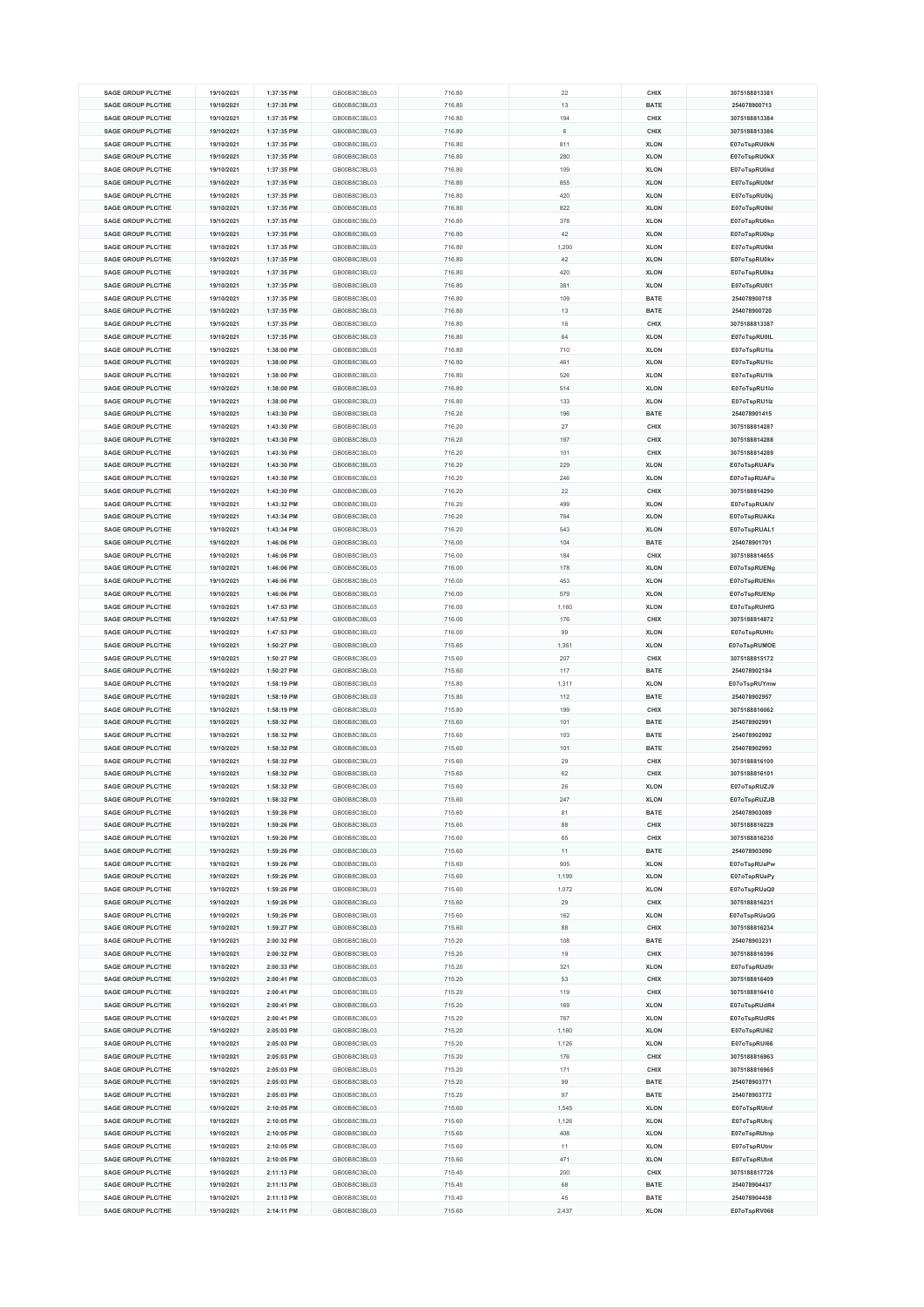| <b>SAGE GROUP PLC/THE</b><br><b>SAGE GROUP PLC/THE</b><br><b>SAGE GROUP PLC/THE</b> | 19/10/2021 | 1:37:35 PM | GB00B8C3BL03 | 716.80 | 22    |             | 3075188813381 |
|-------------------------------------------------------------------------------------|------------|------------|--------------|--------|-------|-------------|---------------|
|                                                                                     |            |            |              |        |       | CHIX        |               |
|                                                                                     | 19/10/2021 | 1:37:35 PM | GB00B8C3BL03 | 716.80 | 13    | <b>BATE</b> | 254078900713  |
|                                                                                     | 19/10/2021 | 1:37:35 PM | GB00B8C3BL03 | 716.80 | 194   | CHIX        | 3075188813384 |
| <b>SAGE GROUP PLC/THE</b>                                                           | 19/10/2021 | 1:37:35 PM | GB00B8C3BL03 | 716.80 | 6     | CHIX        | 3075188813386 |
| <b>SAGE GROUP PLC/THE</b>                                                           | 19/10/2021 | 1:37:35 PM | GB00B8C3BL03 | 716.80 | 811   | <b>XLON</b> | E07oTspRU0kN  |
| <b>SAGE GROUP PLC/THE</b>                                                           | 19/10/2021 | 1:37:35 PM | GB00B8C3BL03 | 716.80 | 280   | <b>XLON</b> | E07oTspRU0kX  |
|                                                                                     |            |            |              |        |       |             |               |
| <b>SAGE GROUP PLC/THE</b>                                                           | 19/10/2021 | 1:37:35 PM | GB00B8C3BL03 | 716.80 | 109   | <b>XLON</b> | E07oTspRU0kd  |
| <b>SAGE GROUP PLC/THE</b>                                                           | 19/10/2021 | 1:37:35 PM | GB00B8C3BL03 | 716.80 | 855   | <b>XLON</b> | E07oTspRU0kf  |
| <b>SAGE GROUP PLC/THE</b>                                                           | 19/10/2021 | 1:37:35 PM | GB00B8C3BL03 | 716.80 | 420   | <b>XLON</b> | E07oTspRU0kj  |
| <b>SAGE GROUP PLC/THE</b>                                                           | 19/10/2021 | 1:37:35 PM | GB00B8C3BL03 | 716.80 | 822   | <b>XLON</b> | E07oTspRU0kl  |
| <b>SAGE GROUP PLC/THE</b>                                                           | 19/10/2021 | 1:37:35 PM | GB00B8C3BL03 | 716.80 | 378   | <b>XLON</b> | E07oTspRU0kn  |
|                                                                                     |            |            |              |        |       |             |               |
| <b>SAGE GROUP PLC/THE</b>                                                           | 19/10/2021 | 1:37:35 PM | GB00B8C3BL03 | 716.80 | 42    | <b>XLON</b> | E07oTspRU0kp  |
| SAGE GROUP PLC/THE                                                                  | 19/10/2021 | 1:37:35 PM | GB00B8C3BL03 | 716.80 | 1,200 | <b>XLON</b> | E07oTspRU0kt  |
| <b>SAGE GROUP PLC/THE</b>                                                           | 19/10/2021 | 1:37:35 PM | GB00B8C3BL03 | 716.80 | 42    | <b>XLON</b> | E07oTspRU0kv  |
| SAGE GROUP PLC/THE                                                                  | 19/10/2021 | 1:37:35 PM | GB00B8C3BL03 | 716.80 | 420   | <b>XLON</b> | E07oTspRU0kz  |
| <b>SAGE GROUP PLC/THE</b>                                                           |            |            | GB00B8C3BL03 |        | 381   |             |               |
|                                                                                     | 19/10/2021 | 1:37:35 PM |              | 716.80 |       | <b>XLON</b> | E07oTspRU0l1  |
| <b>SAGE GROUP PLC/THE</b>                                                           | 19/10/2021 | 1:37:35 PM | GB00B8C3BL03 | 716.80 | 109   | <b>BATE</b> | 254078900718  |
| <b>SAGE GROUP PLC/THE</b>                                                           | 19/10/2021 | 1:37:35 PM | GB00B8C3BL03 | 716.80 | 13    | <b>BATE</b> | 254078900720  |
| <b>SAGE GROUP PLC/THE</b>                                                           | 19/10/2021 | 1:37:35 PM | GB00B8C3BL03 | 716.80 | 16    | CHIX        | 3075188813387 |
| <b>SAGE GROUP PLC/THE</b>                                                           | 19/10/2021 | 1:37:35 PM | GB00B8C3BL03 | 716.80 | 64    | <b>XLON</b> | E07oTspRU0IL  |
| <b>SAGE GROUP PLC/THE</b>                                                           | 19/10/2021 | 1:38:00 PM | GB00B8C3BL03 | 716.80 | 710   | <b>XLON</b> | E07oTspRU1la  |
|                                                                                     |            |            |              |        |       |             |               |
| <b>SAGE GROUP PLC/THE</b>                                                           | 19/10/2021 | 1:38:00 PM | GB00B8C3BL03 | 716.80 | 461   | <b>XLON</b> | E07oTspRU1lc  |
| <b>SAGE GROUP PLC/THE</b>                                                           | 19/10/2021 | 1:38:00 PM | GB00B8C3BL03 | 716.80 | 526   | <b>XLON</b> | E07oTspRU1lk  |
| <b>SAGE GROUP PLC/THE</b>                                                           | 19/10/2021 | 1:38:00 PM | GB00B8C3BL03 | 716.80 | 514   | <b>XLON</b> | E07oTspRU1lo  |
| <b>SAGE GROUP PLC/THE</b>                                                           | 19/10/2021 | 1:38:00 PM | GB00B8C3BL03 | 716.80 | 133   | <b>XLON</b> | E07oTspRU1lz  |
| <b>SAGE GROUP PLC/THE</b>                                                           | 19/10/2021 | 1:43:30 PM | GB00B8C3BL03 | 716.20 | 196   | <b>BATE</b> | 254078901415  |
|                                                                                     |            |            |              |        |       |             |               |
| <b>SAGE GROUP PLC/THE</b>                                                           | 19/10/2021 | 1:43:30 PM | GB00B8C3BL03 | 716.20 | 27    | CHIX        | 3075188814287 |
| SAGE GROUP PLC/THE                                                                  | 19/10/2021 | 1:43:30 PM | GB00B8C3BL03 | 716.20 | 197   | CHIX        | 3075188814288 |
| <b>SAGE GROUP PLC/THE</b>                                                           | 19/10/2021 | 1:43:30 PM | GB00B8C3BL03 | 716.20 | 101   | CHIX        | 3075188814289 |
| <b>SAGE GROUP PLC/THE</b>                                                           | 19/10/2021 | 1:43:30 PM | GB00B8C3BL03 | 716.20 | 229   | <b>XLON</b> | E07oTspRUAFs  |
| <b>SAGE GROUP PLC/THE</b>                                                           | 19/10/2021 | 1:43:30 PM | GB00B8C3BL03 | 716.20 | 246   | <b>XLON</b> | E07oTspRUAFu  |
| <b>SAGE GROUP PLC/THE</b>                                                           |            |            |              |        |       |             |               |
|                                                                                     | 19/10/2021 | 1:43:30 PM | GB00B8C3BL03 | 716.20 | 22    | CHIX        | 3075188814290 |
| <b>SAGE GROUP PLC/THE</b>                                                           | 19/10/2021 | 1:43:32 PM | GB00B8C3BL03 | 716.20 | 499   | <b>XLON</b> | E07oTspRUAIV  |
| SAGE GROUP PLC/THE                                                                  | 19/10/2021 | 1:43:34 PM | GB00B8C3BL03 | 716.20 | 764   | <b>XLON</b> | E07oTspRUAKz  |
| <b>SAGE GROUP PLC/THE</b>                                                           | 19/10/2021 | 1:43:34 PM | GB00B8C3BL03 | 716.20 | 543   | <b>XLON</b> | E07oTspRUAL1  |
| <b>SAGE GROUP PLC/THE</b>                                                           | 19/10/2021 | 1:46:06 PM | GB00B8C3BL03 | 716.00 | 104   | <b>BATE</b> | 254078901701  |
|                                                                                     |            |            |              |        |       |             |               |
| <b>SAGE GROUP PLC/THE</b>                                                           | 19/10/2021 | 1:46:06 PM | GB00B8C3BL03 | 716.00 | 184   | CHIX        | 3075188814655 |
| <b>SAGE GROUP PLC/THE</b>                                                           | 19/10/2021 | 1:46:06 PM | GB00B8C3BL03 | 716.00 | 178   | <b>XLON</b> | E07oTspRUENg  |
| <b>SAGE GROUP PLC/THE</b>                                                           | 19/10/2021 | 1:46:06 PM | GB00B8C3BL03 | 716.00 | 453   | <b>XLON</b> | E07oTspRUENn  |
| <b>SAGE GROUP PLC/THE</b>                                                           | 19/10/2021 | 1:46:06 PM | GB00B8C3BL03 | 716.00 | 579   | <b>XLON</b> | E07oTspRUENp  |
| <b>SAGE GROUP PLC/THE</b>                                                           | 19/10/2021 | 1:47:53 PM | GB00B8C3BL03 | 716.00 | 1.160 | <b>XLON</b> | E07oTspRUHfG  |
| <b>SAGE GROUP PLC/THE</b>                                                           | 19/10/2021 | 1:47:53 PM | GB00B8C3BL03 | 716.00 | 176   | CHIX        | 3075188814872 |
|                                                                                     |            |            |              |        |       |             |               |
| <b>SAGE GROUP PLC/THE</b>                                                           | 19/10/2021 | 1:47:53 PM | GB00B8C3BL03 | 716.00 | 99    | <b>XLON</b> | E07oTspRUHfc  |
| <b>SAGE GROUP PLC/THE</b>                                                           | 19/10/2021 | 1:50:27 PM | GB00B8C3BL03 | 715.60 | 1,361 | <b>XLON</b> | E07oTspRUMOE  |
| <b>SAGE GROUP PLC/THE</b>                                                           | 19/10/2021 | 1:50:27 PM | GB00B8C3BL03 | 715.60 | 207   | CHIX        | 3075188815172 |
| <b>SAGE GROUP PLC/THE</b>                                                           | 19/10/2021 | 1:50:27 PM | GB00B8C3BL03 | 715.60 | 117   | <b>BATE</b> | 254078902184  |
| <b>SAGE GROUP PLC/THE</b>                                                           | 19/10/2021 | 1:58:19 PM | GB00B8C3BL03 | 715.80 | 1,311 | <b>XLON</b> | E07oTspRUYmw  |
|                                                                                     |            |            |              |        |       |             |               |
| <b>SAGE GROUP PLC/THE</b>                                                           | 19/10/2021 | 1:58:19 PM | GB00B8C3BL03 | 715.80 | 112   | <b>BATE</b> | 254078902957  |
| <b>SAGE GROUP PLC/THE</b>                                                           | 19/10/2021 | 1:58:19 PM | GB00B8C3BL03 | 715.80 | 199   | CHIX        | 3075188816062 |
| <b>SAGE GROUP PLC/THE</b>                                                           | 19/10/2021 | 1:58:32 PM | GB00B8C3BL03 | 715.60 | 101   | <b>BATE</b> | 254078902991  |
| SAGE GROUP PLC/THE                                                                  | 19/10/2021 | 1:58:32 PM | GB00B8C3BL03 | 715.60 | 103   | <b>BATE</b> | 254078902992  |
| <b>SAGE GROUP PLC/THE</b>                                                           | 19/10/2021 | 1:58:32 PM | GB00B8C3BL03 | 715.60 | 101   | <b>BATE</b> | 254078902993  |
| <b>SAGE GROUP PLC/THE</b>                                                           | 19/10/2021 | 1:58:32 PM | GB00B8C3BL03 | 715.60 | 29    | CHIX        | 3075188816100 |
| <b>SAGE GROUP PLC/THE</b>                                                           | 19/10/2021 |            | GB00B8C3BL03 |        | 62    | CHIX        | 3075188816101 |
|                                                                                     |            | 1:58:32 PM |              | 715.60 |       |             |               |
|                                                                                     | 19/10/2021 | 1:58:32 PM |              |        |       |             |               |
| <b>SAGE GROUP PLC/THE</b>                                                           |            |            | GB00B8C3BL03 | 715.60 | 26    | <b>XLON</b> | E07oTspRUZJ9  |
| <b>SAGE GROUP PLC/THE</b>                                                           | 19/10/2021 | 1:58:32 PM | GB00B8C3BL03 | 715.60 | 247   | <b>XLON</b> | E07oTspRUZJB  |
| <b>SAGE GROUP PLC/THE</b>                                                           | 19/10/2021 | 1:59:26 PM | GB00B8C3BL03 | 715.60 | 81    | BATE        | 254078903089  |
| <b>SAGE GROUP PLC/THE</b>                                                           | 19/10/2021 | 1:59:26 PM | GB00B8C3BL03 | 715.60 | 88    | CHIX        | 3075188816229 |
|                                                                                     |            | 1:59:26 PM | GB00B8C3BL03 |        |       |             | 3075188816230 |
| <b>SAGE GROUP PLC/THE</b>                                                           | 19/10/2021 |            |              | 715.60 | 65    | CHIX        |               |
| <b>SAGE GROUP PLC/THE</b>                                                           | 19/10/2021 | 1:59:26 PM | GB00B8C3BL03 | 715.60 | 11    | <b>BATE</b> | 254078903090  |
| <b>SAGE GROUP PLC/THE</b>                                                           | 19/10/2021 | 1:59:26 PM | GB00B8C3BL03 | 715.60 | 905   | <b>XLON</b> | E07oTspRUaPw  |
| <b>SAGE GROUP PLC/THE</b>                                                           | 19/10/2021 | 1:59:26 PM | GB00B8C3BL03 | 715.60 | 1,199 | <b>XLON</b> | E07oTspRUaPy  |
| <b>SAGE GROUP PLC/THE</b>                                                           | 19/10/2021 | 1:59:26 PM | GB00B8C3BL03 | 715.60 | 1,072 | <b>XLON</b> | E07oTspRUaQ0  |
| <b>SAGE GROUP PLC/THE</b>                                                           | 19/10/2021 | 1:59:26 PM | GB00B8C3BL03 | 715.60 | 29    | CHIX        | 3075188816231 |
| <b>SAGE GROUP PLC/THE</b>                                                           | 19/10/2021 | 1:59:26 PM | GB00B8C3BL03 |        |       | <b>XLON</b> |               |
|                                                                                     |            |            |              | 715.60 | 162   |             | E07oTspRUaQG  |
| <b>SAGE GROUP PLC/THE</b>                                                           | 19/10/2021 | 1:59:27 PM | GB00B8C3BL03 | 715.60 | 88    | CHIX        | 3075188816234 |
| <b>SAGE GROUP PLC/THE</b>                                                           | 19/10/2021 | 2:00:32 PM | GB00B8C3BL03 | 715.20 | 108   | <b>BATE</b> | 254078903231  |
| <b>SAGE GROUP PLC/THE</b>                                                           | 19/10/2021 | 2:00:32 PM | GB00B8C3BL03 | 715.20 | 19    | CHIX        | 3075188816396 |
| <b>SAGE GROUP PLC/THE</b>                                                           | 19/10/2021 | 2:00:33 PM | GB00B8C3BL03 | 715.20 | 321   | <b>XLON</b> | E07oTspRUd9r  |
| <b>SAGE GROUP PLC/THE</b>                                                           | 19/10/2021 | 2:00:41 PM | GB00B8C3BL03 | 715.20 | 53    | CHIX        | 3075188816409 |
| <b>SAGE GROUP PLC/THE</b>                                                           | 19/10/2021 | 2:00:41 PM | GB00B8C3BL03 | 715.20 | 119   | CHIX        | 3075188816410 |
|                                                                                     |            |            |              |        |       |             |               |
| <b>SAGE GROUP PLC/THE</b>                                                           | 19/10/2021 | 2:00:41 PM | GB00B8C3BL03 | 715.20 | 169   | <b>XLON</b> | E07oTspRUdR4  |
| <b>SAGE GROUP PLC/THE</b>                                                           | 19/10/2021 | 2:00:41 PM | GB00B8C3BL03 | 715.20 | 767   | <b>XLON</b> | E07oTspRUdR6  |
| <b>SAGE GROUP PLC/THE</b>                                                           | 19/10/2021 | 2:05:03 PM | GB00B8C3BL03 | 715.20 | 1,160 | <b>XLON</b> | E07oTspRUI62  |
| <b>SAGE GROUP PLC/THE</b>                                                           | 19/10/2021 | 2:05:03 PM | GB00B8C3BL03 | 715.20 | 1,126 | <b>XLON</b> | E07oTspRUI66  |
| <b>SAGE GROUP PLC/THE</b>                                                           | 19/10/2021 | 2:05:03 PM | GB00B8C3BL03 | 715.20 | 176   | CHIX        | 3075188816963 |
| <b>SAGE GROUP PLC/THE</b>                                                           | 19/10/2021 | 2:05:03 PM | GB00B8C3BL03 | 715.20 | 171   | CHIX        | 3075188816965 |
|                                                                                     |            |            |              |        |       |             |               |
| <b>SAGE GROUP PLC/THE</b>                                                           | 19/10/2021 | 2:05:03 PM | GB00B8C3BL03 | 715.20 | 99    | BATE        | 254078903771  |
| <b>SAGE GROUP PLC/THE</b>                                                           | 19/10/2021 | 2:05:03 PM | GB00B8C3BL03 | 715.20 | 97    | <b>BATE</b> | 254078903772  |
| <b>SAGE GROUP PLC/THE</b>                                                           | 19/10/2021 | 2:10:05 PM | GB00B8C3BL03 | 715.60 | 1,545 | <b>XLON</b> | E07oTspRUtnf  |
| <b>SAGE GROUP PLC/THE</b>                                                           | 19/10/2021 | 2:10:05 PM | GB00B8C3BL03 | 715.60 | 1,126 | <b>XLON</b> | E07oTspRUtnj  |
| <b>SAGE GROUP PLC/THE</b>                                                           | 19/10/2021 | 2:10:05 PM | GB00B8C3BL03 | 715.60 | 408   | <b>XLON</b> | E07oTspRUtnp  |
| <b>SAGE GROUP PLC/THE</b>                                                           | 19/10/2021 | 2:10:05 PM | GB00B8C3BL03 | 715.60 | 11    | <b>XLON</b> |               |
|                                                                                     |            |            |              |        |       |             | E07oTspRUtnr  |
| <b>SAGE GROUP PLC/THE</b>                                                           | 19/10/2021 | 2:10:05 PM | GB00B8C3BL03 | 715.60 | 471   | <b>XLON</b> | E07oTspRUtnt  |
| <b>SAGE GROUP PLC/THE</b>                                                           | 19/10/2021 | 2:11:13 PM | GB00B8C3BL03 | 715.40 | 200   | CHIX        | 3075188817726 |
| <b>SAGE GROUP PLC/THE</b>                                                           | 19/10/2021 | 2:11:13 PM | GB00B8C3BL03 | 715.40 | 68    | <b>BATE</b> | 254078904437  |
| <b>SAGE GROUP PLC/THE</b>                                                           | 19/10/2021 | 2:11:13 PM | GB00B8C3BL03 | 715.40 | 45    | <b>BATE</b> | 254078904438  |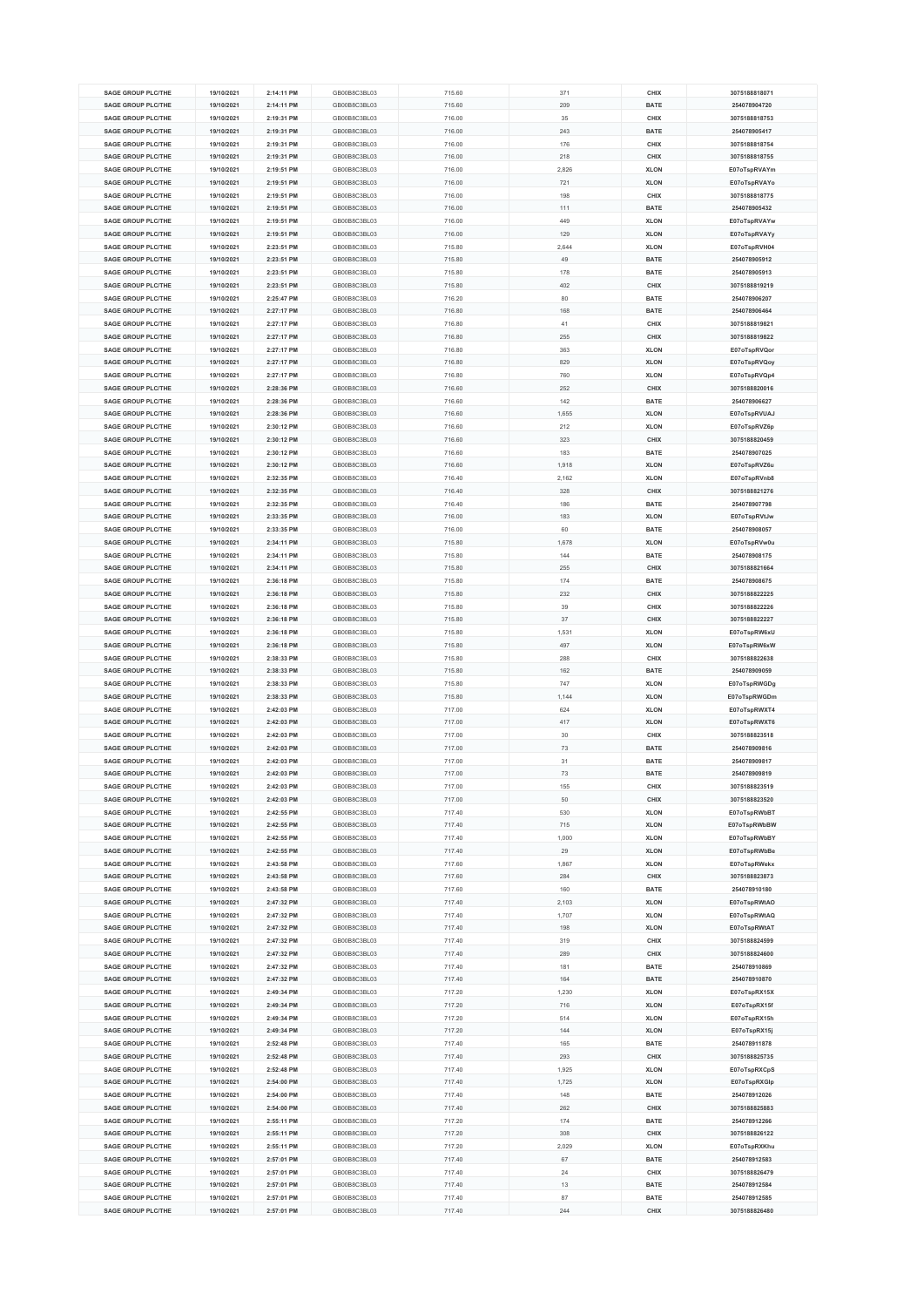| <b>SAGE GROUP PLC/THE</b><br><b>SAGE GROUP PLC/THE</b><br><b>SAGE GROUP PLC/THE</b> | 19/10/2021               |                          | GB00B8C3BL03                 | 715.60           | 371       | CHIX                |                               |
|-------------------------------------------------------------------------------------|--------------------------|--------------------------|------------------------------|------------------|-----------|---------------------|-------------------------------|
|                                                                                     |                          | 2:14:11 PM               |                              |                  |           |                     | 3075188818071                 |
|                                                                                     | 19/10/2021               | 2:14:11 PM               | GB00B8C3BL03                 | 715.60           | 209       | <b>BATE</b>         | 254078904720                  |
|                                                                                     | 19/10/2021               | 2:19:31 PM               | GB00B8C3BL03                 | 716.00           | 35        | CHIX                | 3075188818753                 |
| <b>SAGE GROUP PLC/THE</b>                                                           | 19/10/2021               | 2:19:31 PM               | GB00B8C3BL03                 | 716.00           | 243       | <b>BATE</b>         | 254078905417                  |
| SAGE GROUP PLC/THE                                                                  | 19/10/2021               | 2:19:31 PM               | GB00B8C3BL03                 | 716.00           | 176       | CHIX                | 3075188818754                 |
| <b>SAGE GROUP PLC/THE</b>                                                           | 19/10/2021               | 2:19:31 PM               | GB00B8C3BL03                 | 716.00           | 218       | CHIX                | 3075188818755                 |
|                                                                                     |                          |                          |                              |                  |           |                     |                               |
| SAGE GROUP PLC/THE                                                                  | 19/10/2021               | 2:19:51 PM               | GB00B8C3BL03                 | 716.00           | 2,826     | <b>XLON</b>         | E07oTspRVAYm                  |
| <b>SAGE GROUP PLC/THE</b>                                                           | 19/10/2021               | 2:19:51 PM               | GB00B8C3BL03                 | 716.00           | 721       | <b>XLON</b>         | E07oTspRVAYo                  |
| <b>SAGE GROUP PLC/THE</b>                                                           | 19/10/2021               | 2:19:51 PM               | GB00B8C3BL03                 | 716.00           | 198       | CHIX                | 3075188818775                 |
| <b>SAGE GROUP PLC/THE</b>                                                           | 19/10/2021               | 2:19:51 PM               | GB00B8C3BL03                 | 716.00           | 111       | <b>BATE</b>         | 254078905432                  |
| <b>SAGE GROUP PLC/THE</b>                                                           | 19/10/2021               | 2:19:51 PM               | GB00B8C3BL03                 | 716.00           | 449       | <b>XLON</b>         | E07oTspRVAYw                  |
|                                                                                     |                          |                          |                              |                  |           |                     |                               |
| <b>SAGE GROUP PLC/THE</b>                                                           | 19/10/2021               | 2:19:51 PM               | GB00B8C3BL03                 | 716.00           | 129       | <b>XLON</b>         | E07oTspRVAYy                  |
| SAGE GROUP PLC/THE                                                                  | 19/10/2021               | 2:23:51 PM               | GB00B8C3BL03                 | 715.80           | 2,644     | <b>XLON</b>         | E07oTspRVH04                  |
| <b>SAGE GROUP PLC/THE</b>                                                           | 19/10/2021               | 2:23:51 PM               | GB00B8C3BL03                 | 715.80           | 49        | <b>BATE</b>         | 254078905912                  |
| SAGE GROUP PLC/THE                                                                  | 19/10/2021               | 2:23:51 PM               | GB00B8C3BL03                 | 715.80           | 178       | <b>BATE</b>         | 254078905913                  |
| <b>SAGE GROUP PLC/THE</b>                                                           | 19/10/2021               | 2:23:51 PM               | GB00B8C3BL03                 | 715.80           | 402       | CHIX                | 3075188819219                 |
|                                                                                     | 19/10/2021               |                          |                              |                  |           |                     |                               |
| <b>SAGE GROUP PLC/THE</b>                                                           |                          | 2:25:47 PM               | GB00B8C3BL03                 | 716.20           | 80        | <b>BATE</b>         | 254078906207                  |
| <b>SAGE GROUP PLC/THE</b>                                                           | 19/10/2021               | 2:27:17 PM               | GB00B8C3BL03                 | 716.80           | 168       | <b>BATE</b>         | 254078906464                  |
| <b>SAGE GROUP PLC/THE</b>                                                           | 19/10/2021               | 2:27:17 PM               | GB00B8C3BL03                 | 716.80           | 41        | CHIX                | 3075188819821                 |
| <b>SAGE GROUP PLC/THE</b>                                                           | 19/10/2021               | 2:27:17 PM               | GB00B8C3BL03                 | 716.80           | 255       | CHIX                | 3075188819822                 |
| <b>SAGE GROUP PLC/THE</b>                                                           | 19/10/2021               | 2:27:17 PM               | GB00B8C3BL03                 | 716.80           | 363       | <b>XLON</b>         | E07oTspRVQor                  |
| <b>SAGE GROUP PLC/THE</b>                                                           | 19/10/2021               | 2:27:17 PM               | GB00B8C3BL03                 | 716.80           | 829       | <b>XLON</b>         | E07oTspRVQoy                  |
|                                                                                     |                          |                          |                              |                  |           |                     |                               |
| <b>SAGE GROUP PLC/THE</b>                                                           | 19/10/2021               | 2:27:17 PM               | GB00B8C3BL03                 | 716.80           | 760       | <b>XLON</b>         | E07oTspRVQp4                  |
| <b>SAGE GROUP PLC/THE</b>                                                           | 19/10/2021               | 2:28:36 PM               | GB00B8C3BL03                 | 716.60           | 252       | CHIX                | 3075188820016                 |
| <b>SAGE GROUP PLC/THE</b>                                                           | 19/10/2021               | 2:28:36 PM               | GB00B8C3BL03                 | 716.60           | 142       | <b>BATE</b>         | 254078906627                  |
| <b>SAGE GROUP PLC/THE</b>                                                           | 19/10/2021               | 2:28:36 PM               | GB00B8C3BL03                 | 716.60           | 1,655     | <b>XLON</b>         | E07oTspRVUAJ                  |
| <b>SAGE GROUP PLC/THE</b>                                                           | 19/10/2021               | 2:30:12 PM               | GB00B8C3BL03                 | 716.60           | 212       | <b>XLON</b>         | E07oTspRVZ6p                  |
| SAGE GROUP PLC/THE                                                                  | 19/10/2021               | 2:30:12 PM               | GB00B8C3BL03                 | 716.60           | 323       | CHIX                | 3075188820459                 |
|                                                                                     |                          |                          |                              |                  |           |                     |                               |
| <b>SAGE GROUP PLC/THE</b>                                                           | 19/10/2021               | 2:30:12 PM               | GB00B8C3BL03                 | 716.60           | 183       | <b>BATE</b>         | 254078907025                  |
| <b>SAGE GROUP PLC/THE</b>                                                           | 19/10/2021               | 2:30:12 PM               | GB00B8C3BL03                 | 716.60           | 1,918     | <b>XLON</b>         | E07oTspRVZ6u                  |
| <b>SAGE GROUP PLC/THE</b>                                                           | 19/10/2021               | 2:32:35 PM               | GB00B8C3BL03                 | 716.40           | 2,162     | <b>XLON</b>         | E07oTspRVnb8                  |
| <b>SAGE GROUP PLC/THE</b>                                                           | 19/10/2021               | 2:32:35 PM               | GB00B8C3BL03                 | 716.40           | 328       | CHIX                | 3075188821276                 |
| <b>SAGE GROUP PLC/THE</b>                                                           | 19/10/2021               | 2:32:35 PM               | GB00B8C3BL03                 | 716.40           | 186       | <b>BATE</b>         | 254078907798                  |
| SAGE GROUP PLC/THE                                                                  |                          |                          |                              |                  |           |                     |                               |
|                                                                                     | 19/10/2021               | 2:33:35 PM               | GB00B8C3BL03                 | 716.00           | 183       | <b>XLON</b>         | E07oTspRVtJw                  |
| <b>SAGE GROUP PLC/THE</b>                                                           | 19/10/2021               | 2:33:35 PM               | GB00B8C3BL03                 | 716.00           | 60        | <b>BATE</b>         | 254078908057                  |
| <b>SAGE GROUP PLC/THE</b>                                                           | 19/10/2021               | 2:34:11 PM               | GB00B8C3BL03                 | 715.80           | 1,678     | <b>XLON</b>         | E07oTspRVw0u                  |
| <b>SAGE GROUP PLC/THE</b>                                                           | 19/10/2021               | 2:34:11 PM               | GB00B8C3BL03                 | 715.80           | 144       | <b>BATE</b>         | 254078908175                  |
| <b>SAGE GROUP PLC/THE</b>                                                           | 19/10/2021               | 2:34:11 PM               | GB00B8C3BL03                 | 715.80           | 255       | CHIX                | 3075188821664                 |
| <b>SAGE GROUP PLC/THE</b>                                                           | 19/10/2021               | 2:36:18 PM               | GB00B8C3BL03                 | 715.80           | 174       | <b>BATE</b>         | 254078908675                  |
| <b>SAGE GROUP PLC/THE</b>                                                           | 19/10/2021               | 2:36:18 PM               | GB00B8C3BL03                 | 715.80           | 232       | CHIX                | 3075188822225                 |
|                                                                                     |                          |                          |                              |                  |           |                     |                               |
| <b>SAGE GROUP PLC/THE</b>                                                           | 19/10/2021               | 2:36:18 PM               | GB00B8C3BL03                 | 715.80           | 39        | CHIX                | 3075188822226                 |
| <b>SAGE GROUP PLC/THE</b>                                                           | 19/10/2021               | 2:36:18 PM               | GB00B8C3BL03                 | 715.80           | 37        | CHIX                | 3075188822227                 |
| <b>SAGE GROUP PLC/THE</b>                                                           | 19/10/2021               | 2:36:18 PM               | GB00B8C3BL03                 | 715.80           | 1,531     | <b>XLON</b>         | E07oTspRW6xU                  |
| <b>SAGE GROUP PLC/THE</b>                                                           | 19/10/2021               | 2:36:18 PM               | GB00B8C3BL03                 | 715.80           | 497       | <b>XLON</b>         | E07oTspRW6xW                  |
| <b>SAGE GROUP PLC/THE</b>                                                           | 19/10/2021               | 2:38:33 PM               | GB00B8C3BL03                 | 715.80           | 288       | CHIX                | 3075188822638                 |
| <b>SAGE GROUP PLC/THE</b>                                                           | 19/10/2021               | 2:38:33 PM               | GB00B8C3BL03                 | 715.80           | 162       | <b>BATE</b>         | 254078909059                  |
| <b>SAGE GROUP PLC/THE</b>                                                           | 19/10/2021               | 2:38:33 PM               | GB00B8C3BL03                 | 715.80           | 747       | <b>XLON</b>         | E07oTspRWGDg                  |
|                                                                                     |                          |                          |                              |                  |           |                     |                               |
| <b>SAGE GROUP PLC/THE</b>                                                           | 19/10/2021               | 2:38:33 PM               | GB00B8C3BL03                 | 715.80           | 1,144     | <b>XLON</b>         | E07oTspRWGDm                  |
| <b>SAGE GROUP PLC/THE</b>                                                           | 19/10/2021               | 2:42:03 PM               | GB00B8C3BL03                 | 717.00           | 624       | <b>XLON</b>         | E07oTspRWXT4                  |
| <b>SAGE GROUP PLC/THE</b>                                                           | 19/10/2021               | 2:42:03 PM               | GB00B8C3BL03                 | 717.00           | 417       | <b>XLON</b>         | E07oTspRWXT6                  |
| <b>SAGE GROUP PLC/THE</b>                                                           | 19/10/2021               | 2:42:03 PM               | GB00B8C3BL03                 | 717.00           | 30        | CHIX                | 3075188823518                 |
| <b>SAGE GROUP PLC/THE</b>                                                           | 19/10/2021               | 2:42:03 PM               | GB00B8C3BL03                 | 717.00           | 73        | <b>BATE</b>         | 254078909816                  |
| <b>SAGE GROUP PLC/THE</b>                                                           | 19/10/2021               | 2:42:03 PM               | GB00B8C3BL03                 | 717.00           | 31        | <b>BATE</b>         | 254078909817                  |
|                                                                                     |                          |                          |                              |                  |           |                     |                               |
| <b>SAGE GROUP PLC/THE</b>                                                           | 19/10/2021               | 2:42:03 PM               | GB00B8C3BL03                 | 717.00           | 73        | <b>BATE</b>         | 254078909819                  |
| <b>SAGE GROUP PLC/THE</b>                                                           | 19/10/2021               | 2:42:03 PM               | GB00B8C3BL03                 | 717.00           | 155       |                     |                               |
| <b>SAGE GROUP PLC/THE</b>                                                           | 19/10/2021               | 2:42:03 PM               |                              |                  |           | CHIX                | 3075188823519                 |
| <b>SAGE GROUP PLC/THE</b>                                                           |                          |                          | GB00B8C3BL03                 | 717.00           | 50        | CHIX                | 3075188823520                 |
|                                                                                     | 19/10/2021               | 2:42:55 PM               | GB00B8C3BL03                 | 717.40           | 530       | <b>XLON</b>         | E07oTspRWbBT                  |
|                                                                                     |                          |                          |                              |                  |           |                     |                               |
| <b>SAGE GROUP PLC/THE</b>                                                           | 19/10/2021               | 2:42:55 PM               | GB00B8C3BL03                 | 717.40           | 715       | <b>XLON</b>         | E07oTspRWbBW                  |
| <b>SAGE GROUP PLC/THE</b>                                                           | 19/10/2021               | 2:42:55 PM               | GB00B8C3BL03                 | 717.40           | 1,000     | <b>XLON</b>         | E07oTspRWbBY                  |
| <b>SAGE GROUP PLC/THE</b>                                                           | 19/10/2021               | 2:42:55 PM               | GB00B8C3BL03                 | 717.40           | $29\,$    | <b>XLON</b>         | E07oTspRWbBe                  |
| <b>SAGE GROUP PLC/THE</b>                                                           | 19/10/2021               | 2:43:58 PM               | GB00B8C3BL03                 | 717.60           | 1,867     | <b>XLON</b>         | E07oTspRWekx                  |
| <b>SAGE GROUP PLC/THE</b>                                                           | 19/10/2021               | 2:43:58 PM               | GB00B8C3BL03                 | 717.60           | 284       | CHIX                | 3075188823873                 |
| <b>SAGE GROUP PLC/THE</b>                                                           | 19/10/2021               | 2:43:58 PM               | GB00B8C3BL03                 | 717.60           | 160       | <b>BATE</b>         | 254078910180                  |
| <b>SAGE GROUP PLC/THE</b>                                                           |                          |                          | GB00B8C3BL03                 |                  |           | <b>XLON</b>         |                               |
|                                                                                     | 19/10/2021               | 2:47:32 PM               |                              | 717.40           | 2,103     |                     | E07oTspRWtAO                  |
| <b>SAGE GROUP PLC/THE</b>                                                           | 19/10/2021               | 2:47:32 PM               | GB00B8C3BL03                 | 717.40           | 1,707     | <b>XLON</b>         | E07oTspRWtAQ                  |
| <b>SAGE GROUP PLC/THE</b>                                                           | 19/10/2021               | 2:47:32 PM               | GB00B8C3BL03                 | 717.40           | 198       | <b>XLON</b>         | E07oTspRWtAT                  |
| <b>SAGE GROUP PLC/THE</b>                                                           | 19/10/2021               | 2:47:32 PM               | GB00B8C3BL03                 | 717.40           | 319       | CHIX                | 3075188824599                 |
| <b>SAGE GROUP PLC/THE</b>                                                           | 19/10/2021               | 2:47:32 PM               | GB00B8C3BL03                 | 717.40           | 289       | CHIX                | 3075188824600                 |
| <b>SAGE GROUP PLC/THE</b>                                                           | 19/10/2021               | 2:47:32 PM               | GB00B8C3BL03                 | 717.40           | 181       | <b>BATE</b>         | 254078910869                  |
| <b>SAGE GROUP PLC/THE</b>                                                           | 19/10/2021               | 2:47:32 PM               | GB00B8C3BL03                 | 717.40           | 164       | <b>BATE</b>         | 254078910870                  |
| <b>SAGE GROUP PLC/THE</b>                                                           | 19/10/2021               | 2:49:34 PM               | GB00B8C3BL03                 |                  | 1,230     | <b>XLON</b>         |                               |
|                                                                                     |                          |                          |                              | 717.20           |           |                     | E07oTspRX15X                  |
| <b>SAGE GROUP PLC/THE</b>                                                           | 19/10/2021               | 2:49:34 PM               | GB00B8C3BL03                 | 717.20           | 716       | <b>XLON</b>         | E07oTspRX15f                  |
| <b>SAGE GROUP PLC/THE</b>                                                           | 19/10/2021               | 2:49:34 PM               | GB00B8C3BL03                 | 717.20           | 514       | <b>XLON</b>         | E07oTspRX15h                  |
| <b>SAGE GROUP PLC/THE</b>                                                           | 19/10/2021               | 2:49:34 PM               | GB00B8C3BL03                 | 717.20           | 144       | <b>XLON</b>         | E07oTspRX15j                  |
| <b>SAGE GROUP PLC/THE</b>                                                           | 19/10/2021               | 2:52:48 PM               | GB00B8C3BL03                 | 717.40           | 165       | <b>BATE</b>         | 254078911878                  |
| <b>SAGE GROUP PLC/THE</b>                                                           | 19/10/2021               | 2:52:48 PM               | GB00B8C3BL03                 | 717.40           | 293       | CHIX                | 3075188825735                 |
| <b>SAGE GROUP PLC/THE</b>                                                           | 19/10/2021               | 2:52:48 PM               | GB00B8C3BL03                 | 717.40           | 1,925     | <b>XLON</b>         | E07oTspRXCpS                  |
|                                                                                     |                          |                          |                              |                  |           |                     |                               |
| <b>SAGE GROUP PLC/THE</b>                                                           | 19/10/2021               | 2:54:00 PM               | GB00B8C3BL03                 | 717.40           | 1,725     | <b>XLON</b>         | E07oTspRXGlp                  |
| <b>SAGE GROUP PLC/THE</b>                                                           | 19/10/2021               | 2:54:00 PM               | GB00B8C3BL03                 | 717.40           | 148       | <b>BATE</b>         | 254078912026                  |
| <b>SAGE GROUP PLC/THE</b>                                                           | 19/10/2021               | 2:54:00 PM               | GB00B8C3BL03                 | 717.40           | 262       | <b>CHIX</b>         | 3075188825883                 |
| <b>SAGE GROUP PLC/THE</b>                                                           | 19/10/2021               | 2:55:11 PM               | GB00B8C3BL03                 | 717.20           | 174       | <b>BATE</b>         | 254078912266                  |
| <b>SAGE GROUP PLC/THE</b>                                                           | 19/10/2021               | 2:55:11 PM               | GB00B8C3BL03                 | 717.20           | 308       | CHIX                | 3075188826122                 |
| <b>SAGE GROUP PLC/THE</b>                                                           | 19/10/2021               | 2:55:11 PM               | GB00B8C3BL03                 | 717.20           | 2,029     | <b>XLON</b>         | E07oTspRXKhu                  |
| <b>SAGE GROUP PLC/THE</b>                                                           | 19/10/2021               | 2:57:01 PM               | GB00B8C3BL03                 | 717.40           | 67        | <b>BATE</b>         | 254078912583                  |
| <b>SAGE GROUP PLC/THE</b>                                                           | 19/10/2021               | 2:57:01 PM               | GB00B8C3BL03                 | 717.40           | 24        | CHIX                | 3075188826479                 |
|                                                                                     |                          |                          |                              |                  |           |                     |                               |
| <b>SAGE GROUP PLC/THE</b>                                                           | 19/10/2021               | 2:57:01 PM               | GB00B8C3BL03                 | 717.40           | 13        | <b>BATE</b>         | 254078912584                  |
| <b>SAGE GROUP PLC/THE</b><br><b>SAGE GROUP PLC/THE</b>                              | 19/10/2021<br>19/10/2021 | 2:57:01 PM<br>2:57:01 PM | GB00B8C3BL03<br>GB00B8C3BL03 | 717.40<br>717.40 | 87<br>244 | <b>BATE</b><br>CHIX | 254078912585<br>3075188826480 |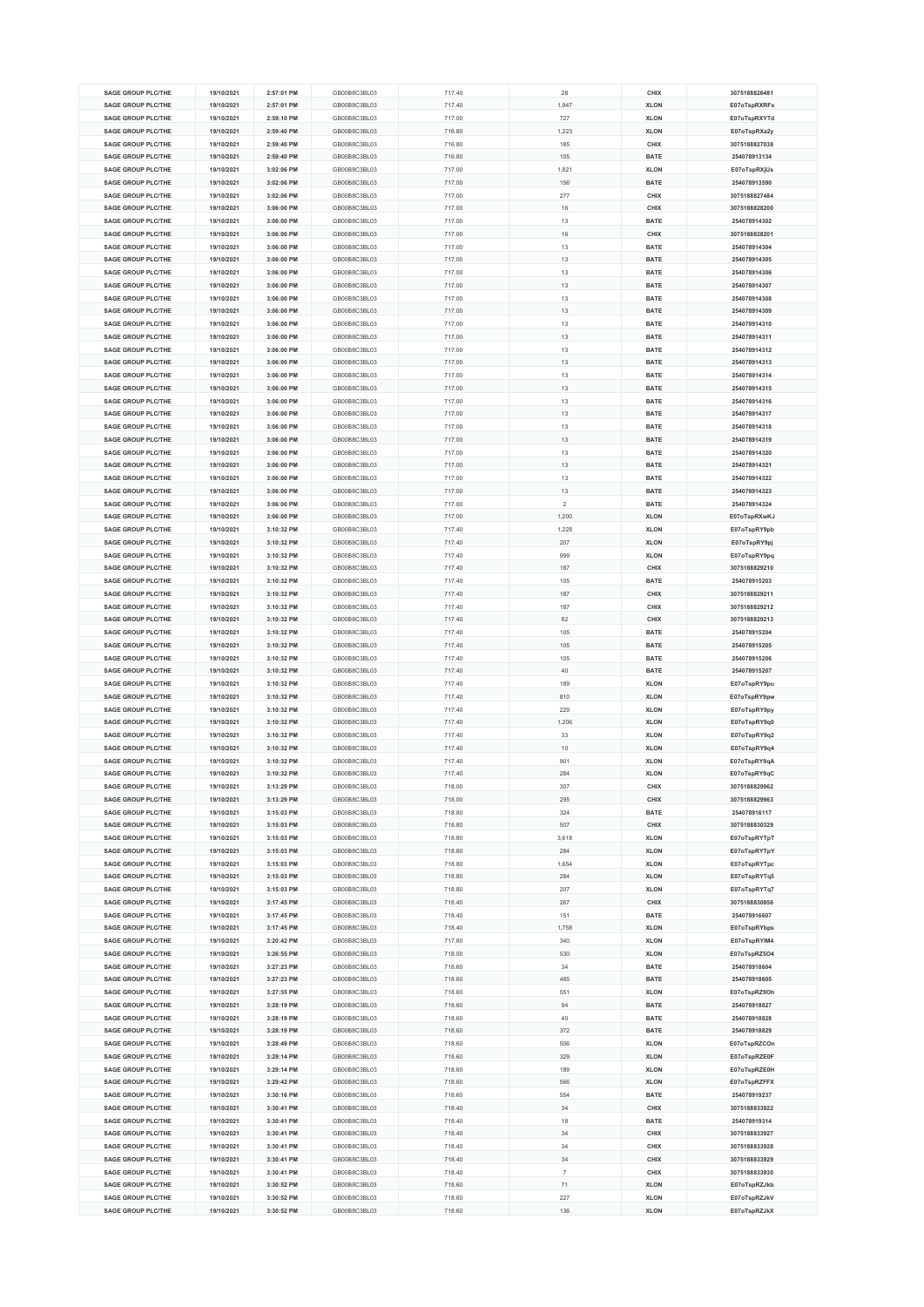| <b>SAGE GROUP PLC/THE</b> | 19/10/2021 | 2:57:01 PM | GB00B8C3BL03 | 717.40 | 28             | CHIX        | 3075188826481 |
|---------------------------|------------|------------|--------------|--------|----------------|-------------|---------------|
|                           |            |            |              |        |                |             |               |
| <b>SAGE GROUP PLC/THE</b> | 19/10/2021 | 2:57:01 PM | GB00B8C3BL03 | 717.40 | 1,947          | <b>XLON</b> | E07oTspRXRFx  |
| <b>SAGE GROUP PLC/THE</b> | 19/10/2021 | 2:59:10 PM | GB00B8C3BL03 | 717.00 | 727            | <b>XLON</b> | E07oTspRXYTd  |
| <b>SAGE GROUP PLC/THE</b> | 19/10/2021 | 2:59:40 PM | GB00B8C3BL03 | 716.80 | 1,223          | <b>XLON</b> | E07oTspRXa2y  |
| SAGE GROUP PLC/THE        | 19/10/2021 | 2:59:40 PM | GB00B8C3BL03 | 716.80 | 185            | CHIX        | 3075188827038 |
| <b>SAGE GROUP PLC/THE</b> | 19/10/2021 | 2:59:40 PM | GB00B8C3BL03 | 716.80 | 105            | <b>BATE</b> | 254078913134  |
|                           |            |            |              |        |                |             |               |
| SAGE GROUP PLC/THE        | 19/10/2021 | 3:02:06 PM | GB00B8C3BL03 | 717.00 | 1,821          | <b>XLON</b> | E07oTspRXjUs  |
| <b>SAGE GROUP PLC/THE</b> | 19/10/2021 | 3:02:06 PM | GB00B8C3BL03 | 717.00 | 156            | <b>BATE</b> | 254078913590  |
| <b>SAGE GROUP PLC/THE</b> | 19/10/2021 | 3:02:06 PM | GB00B8C3BL03 | 717.00 | 277            | CHIX        | 3075188827484 |
| <b>SAGE GROUP PLC/THE</b> | 19/10/2021 | 3:06:00 PM | GB00B8C3BL03 | 717.00 | 16             | CHIX        | 3075188828200 |
| <b>SAGE GROUP PLC/THE</b> | 19/10/2021 | 3:06:00 PM | GB00B8C3BL03 | 717.00 | 13             | <b>BATE</b> | 254078914302  |
|                           |            |            |              |        |                |             |               |
| <b>SAGE GROUP PLC/THE</b> | 19/10/2021 | 3:06:00 PM | GB00B8C3BL03 | 717.00 | 16             | CHIX        | 3075188828201 |
| <b>SAGE GROUP PLC/THE</b> | 19/10/2021 | 3:06:00 PM | GB00B8C3BL03 | 717.00 | 13             | <b>BATE</b> | 254078914304  |
| <b>SAGE GROUP PLC/THE</b> | 19/10/2021 | 3:06:00 PM | GB00B8C3BL03 | 717.00 | 13             | <b>BATE</b> | 254078914305  |
| SAGE GROUP PLC/THE        | 19/10/2021 | 3:06:00 PM | GB00B8C3BL03 | 717.00 | 13             | <b>BATE</b> | 254078914306  |
| <b>SAGE GROUP PLC/THE</b> | 19/10/2021 | 3:06:00 PM | GB00B8C3BL03 | 717.00 | 13             | <b>BATE</b> | 254078914307  |
|                           |            |            |              |        |                |             |               |
| <b>SAGE GROUP PLC/THE</b> | 19/10/2021 | 3:06:00 PM | GB00B8C3BL03 | 717.00 | 13             | <b>BATE</b> | 254078914308  |
| <b>SAGE GROUP PLC/THE</b> | 19/10/2021 | 3:06:00 PM | GB00B8C3BL03 | 717.00 | 13             | <b>BATE</b> | 254078914309  |
| <b>SAGE GROUP PLC/THE</b> | 19/10/2021 | 3:06:00 PM | GB00B8C3BL03 | 717.00 | 13             | <b>BATE</b> | 254078914310  |
| <b>SAGE GROUP PLC/THE</b> | 19/10/2021 | 3:06:00 PM | GB00B8C3BL03 | 717.00 | 13             | <b>BATE</b> | 254078914311  |
| <b>SAGE GROUP PLC/THE</b> | 19/10/2021 | 3:06:00 PM | GB00B8C3BL03 | 717.00 | 13             | <b>BATE</b> | 254078914312  |
| <b>SAGE GROUP PLC/THE</b> |            |            |              |        |                |             |               |
|                           | 19/10/2021 | 3:06:00 PM | GB00B8C3BL03 | 717.00 | 13             | <b>BATE</b> | 254078914313  |
| <b>SAGE GROUP PLC/THE</b> | 19/10/2021 | 3:06:00 PM | GB00B8C3BL03 | 717.00 | 13             | <b>BATE</b> | 254078914314  |
| <b>SAGE GROUP PLC/THE</b> | 19/10/2021 | 3:06:00 PM | GB00B8C3BL03 | 717.00 | 13             | <b>BATE</b> | 254078914315  |
| <b>SAGE GROUP PLC/THE</b> | 19/10/2021 | 3:06:00 PM | GB00B8C3BL03 | 717.00 | 13             | <b>BATE</b> | 254078914316  |
| <b>SAGE GROUP PLC/THE</b> | 19/10/2021 | 3:06:00 PM | GB00B8C3BL03 | 717.00 | 13             | <b>BATE</b> | 254078914317  |
| <b>SAGE GROUP PLC/THE</b> | 19/10/2021 | 3:06:00 PM | GB00B8C3BL03 | 717.00 | 13             | <b>BATE</b> | 254078914318  |
|                           |            |            |              |        |                |             |               |
| SAGE GROUP PLC/THE        | 19/10/2021 | 3:06:00 PM | GB00B8C3BL03 | 717.00 | 13             | <b>BATE</b> | 254078914319  |
| <b>SAGE GROUP PLC/THE</b> | 19/10/2021 | 3:06:00 PM | GB00B8C3BL03 | 717.00 | 13             | <b>BATE</b> | 254078914320  |
| <b>SAGE GROUP PLC/THE</b> | 19/10/2021 | 3:06:00 PM | GB00B8C3BL03 | 717.00 | 13             | BATE        | 254078914321  |
| <b>SAGE GROUP PLC/THE</b> | 19/10/2021 | 3:06:00 PM | GB00B8C3BL03 | 717.00 | 13             | <b>BATE</b> | 254078914322  |
| <b>SAGE GROUP PLC/THE</b> | 19/10/2021 | 3:06:00 PM | GB00B8C3BL03 | 717.00 | 13             | <b>BATE</b> | 254078914323  |
|                           |            |            |              |        |                |             |               |
| <b>SAGE GROUP PLC/THE</b> | 19/10/2021 | 3:06:00 PM | GB00B8C3BL03 | 717.00 | $\overline{2}$ | <b>BATE</b> | 254078914324  |
| <b>SAGE GROUP PLC/THE</b> | 19/10/2021 | 3:06:00 PM | GB00B8C3BL03 | 717.00 | 1,200          | <b>XLON</b> | E07oTspRXwKJ  |
| <b>SAGE GROUP PLC/THE</b> | 19/10/2021 | 3:10:32 PM | GB00B8C3BL03 | 717.40 | 1,228          | <b>XLON</b> | E07oTspRY9pb  |
| <b>SAGE GROUP PLC/THE</b> | 19/10/2021 | 3:10:32 PM | GB00B8C3BL03 | 717.40 | 207            | <b>XLON</b> | E07oTspRY9pj  |
| <b>SAGE GROUP PLC/THE</b> | 19/10/2021 | 3:10:32 PM | GB00B8C3BL03 | 717.40 | 999            | <b>XLON</b> | E07oTspRY9pq  |
| <b>SAGE GROUP PLC/THE</b> |            |            |              |        |                |             |               |
|                           | 19/10/2021 | 3:10:32 PM | GB00B8C3BL03 | 717.40 | 187            | CHIX        | 3075188829210 |
| <b>SAGE GROUP PLC/THE</b> | 19/10/2021 | 3:10:32 PM | GB00B8C3BL03 | 717.40 | 105            | <b>BATE</b> | 254078915203  |
| <b>SAGE GROUP PLC/THE</b> | 19/10/2021 | 3:10:32 PM | GB00B8C3BL03 | 717.40 | 187            | CHIX        | 3075188829211 |
| <b>SAGE GROUP PLC/THE</b> | 19/10/2021 | 3:10:32 PM | GB00B8C3BL03 | 717.40 | 187            | CHIX        | 3075188829212 |
| <b>SAGE GROUP PLC/THE</b> | 19/10/2021 | 3:10:32 PM | GB00B8C3BL03 | 717.40 | 82             | CHIX        | 3075188829213 |
| <b>SAGE GROUP PLC/THE</b> | 19/10/2021 | 3:10:32 PM | GB00B8C3BL03 | 717.40 | 105            | <b>BATE</b> | 254078915204  |
|                           |            |            |              |        |                |             |               |
| <b>SAGE GROUP PLC/THE</b> | 19/10/2021 | 3:10:32 PM | GB00B8C3BL03 | 717.40 | 105            | <b>BATE</b> | 254078915205  |
| <b>SAGE GROUP PLC/THE</b> | 19/10/2021 | 3:10:32 PM | GB00B8C3BL03 | 717.40 | 105            | <b>BATE</b> | 254078915206  |
| <b>SAGE GROUP PLC/THE</b> | 19/10/2021 | 3:10:32 PM | GB00B8C3BL03 | 717.40 | 40             | <b>BATE</b> | 254078915207  |
| <b>SAGE GROUP PLC/THE</b> | 19/10/2021 | 3:10:32 PM | GB00B8C3BL03 | 717.40 | 189            | <b>XLON</b> | E07oTspRY9pu  |
| <b>SAGE GROUP PLC/THE</b> | 19/10/2021 | 3:10:32 PM | GB00B8C3BL03 | 717.40 | 810            | <b>XLON</b> | E07oTspRY9pw  |
| <b>SAGE GROUP PLC/THE</b> |            |            |              |        |                |             |               |
|                           | 19/10/2021 | 3:10:32 PM | GB00B8C3BL03 | 717.40 | 229            | <b>XLON</b> | E07oTspRY9py  |
| <b>SAGE GROUP PLC/THE</b> | 19/10/2021 | 3:10:32 PM | GB00B8C3BL03 | 717.40 | 1,206          | <b>XLON</b> | E07oTspRY9q0  |
| SAGE GROUP PLC/THE        | 19/10/2021 | 3:10:32 PM | GB00B8C3BL03 | 717.40 | 33             | <b>XLON</b> | E07oTspRY9q2  |
| <b>SAGE GROUP PLC/THE</b> | 19/10/2021 | 3:10:32 PM | GB00B8C3BL03 | 717.40 | 10             | <b>XLON</b> | E07oTspRY9q4  |
| <b>SAGE GROUP PLC/THE</b> | 19/10/2021 | 3:10:32 PM | GB00B8C3BL03 | 717.40 | 901            | <b>XLON</b> | E07oTspRY9qA  |
| <b>SAGE GROUP PLC/THE</b> | 19/10/2021 | 3:10:32 PM | GB00B8C3BL03 | 717.40 | 284            | <b>XLON</b> | E07oTspRY9qC  |
|                           |            |            |              |        |                |             |               |
| <b>SAGE GROUP PLC/THE</b> | 19/10/2021 | 3:13:29 PM | GB00B8C3BL03 | 718.00 | 307            | CHIX        | 3075188829962 |
| <b>SAGE GROUP PLC/THE</b> | 19/10/2021 | 3:13:29 PM | GB00B8C3BL03 | 718.00 | 295            | CHIX        | 3075188829963 |
| <b>SAGE GROUP PLC/THE</b> | 19/10/2021 | 3:15:03 PM | GB00B8C3BL03 | 718.80 | 324            | <b>BATE</b> | 254078916117  |
| <b>SAGE GROUP PLC/THE</b> | 19/10/2021 | 3:15:03 PM | GB00B8C3BL03 | 718.80 | 507            | CHIX        | 3075188830329 |
| <b>SAGE GROUP PLC/THE</b> | 19/10/2021 | 3:15:03 PM | GB00B8C3BL03 | 718.80 | 3,618          | <b>XLON</b> | E07oTspRYTpT  |
| <b>SAGE GROUP PLC/THE</b> | 19/10/2021 | 3:15:03 PM | GB00B8C3BL03 | 718.80 | 284            | <b>XLON</b> | E07oTspRYTpY  |
|                           |            |            |              |        |                |             |               |
| <b>SAGE GROUP PLC/THE</b> | 19/10/2021 | 3:15:03 PM | GB00B8C3BL03 | 718.80 | 1,654          | <b>XLON</b> | E07oTspRYTpc  |
| <b>SAGE GROUP PLC/THE</b> | 19/10/2021 | 3:15:03 PM | GB00B8C3BL03 | 718.80 | 284            | <b>XLON</b> | E07oTspRYTq5  |
| <b>SAGE GROUP PLC/THE</b> | 19/10/2021 | 3:15:03 PM | GB00B8C3BL03 | 718.80 | 207            | <b>XLON</b> | E07oTspRYTq7  |
| <b>SAGE GROUP PLC/THE</b> | 19/10/2021 | 3:17:45 PM | GB00B8C3BL03 | 718.40 | 267            | CHIX        | 3075188830856 |
| <b>SAGE GROUP PLC/THE</b> | 19/10/2021 | 3:17:45 PM | GB00B8C3BL03 | 718.40 | 151            | <b>BATE</b> | 254078916607  |
| <b>SAGE GROUP PLC/THE</b> |            |            | GB00B8C3BL03 |        |                | <b>XLON</b> |               |
|                           | 19/10/2021 | 3:17:45 PM |              | 718.40 | 1,758          |             | E07oTspRYbps  |
| <b>SAGE GROUP PLC/THE</b> | 19/10/2021 | 3:20:42 PM | GB00B8C3BL03 | 717.80 | 340            | <b>XLON</b> | E07oTspRYIM4  |
| <b>SAGE GROUP PLC/THE</b> | 19/10/2021 | 3:26:55 PM | GB00B8C3BL03 | 718.00 | 530            | <b>XLON</b> | E07oTspRZ5O4  |
| <b>SAGE GROUP PLC/THE</b> | 19/10/2021 | 3:27:23 PM | GB00B8C3BL03 | 718.60 | 34             | <b>BATE</b> | 254078918604  |
| <b>SAGE GROUP PLC/THE</b> | 19/10/2021 | 3:27:23 PM | GB00B8C3BL03 | 718.60 | 485            | <b>BATE</b> | 254078918605  |
| <b>SAGE GROUP PLC/THE</b> | 19/10/2021 | 3:27:55 PM | GB00B8C3BL03 | 718.60 | 551            | <b>XLON</b> | E07oTspRZ9Oh  |
| <b>SAGE GROUP PLC/THE</b> |            | 3:28:19 PM | GB00B8C3BL03 | 718.60 | 94             | <b>BATE</b> | 254078918827  |
|                           | 19/10/2021 |            |              |        |                |             |               |
| <b>SAGE GROUP PLC/THE</b> | 19/10/2021 | 3:28:19 PM | GB00B8C3BL03 | 718.60 | 40             | <b>BATE</b> | 254078918828  |
| <b>SAGE GROUP PLC/THE</b> | 19/10/2021 | 3:28:19 PM | GB00B8C3BL03 | 718.60 | 372            | <b>BATE</b> | 254078918829  |
| <b>SAGE GROUP PLC/THE</b> | 19/10/2021 | 3:28:49 PM | GB00B8C3BL03 | 718.60 | 506            | <b>XLON</b> | E07oTspRZCOn  |
| <b>SAGE GROUP PLC/THE</b> | 19/10/2021 | 3:29:14 PM | GB00B8C3BL03 | 718.60 | 329            | <b>XLON</b> | E07oTspRZE0F  |
| <b>SAGE GROUP PLC/THE</b> | 19/10/2021 | 3:29:14 PM | GB00B8C3BL03 | 718.60 | 189            | <b>XLON</b> | E07oTspRZE0H  |
|                           |            |            |              |        |                |             |               |
| <b>SAGE GROUP PLC/THE</b> | 19/10/2021 | 3:29:42 PM | GB00B8C3BL03 | 718.60 | 566            | <b>XLON</b> | E07oTspRZFFX  |
| <b>SAGE GROUP PLC/THE</b> | 19/10/2021 | 3:30:16 PM | GB00B8C3BL03 | 718.60 | 554            | <b>BATE</b> | 254078919237  |
| <b>SAGE GROUP PLC/THE</b> | 19/10/2021 | 3:30:41 PM | GB00B8C3BL03 | 718.40 | 34             | CHIX        | 3075188833922 |
| <b>SAGE GROUP PLC/THE</b> | 19/10/2021 | 3:30:41 PM | GB00B8C3BL03 | 718.40 | 18             | <b>BATE</b> | 254078919314  |
| <b>SAGE GROUP PLC/THE</b> | 19/10/2021 | 3:30:41 PM | GB00B8C3BL03 | 718.40 | 34             | CHIX        | 3075188833927 |
| <b>SAGE GROUP PLC/THE</b> | 19/10/2021 | 3:30:41 PM | GB00B8C3BL03 | 718.40 | 34             | CHIX        | 3075188833928 |
| <b>SAGE GROUP PLC/THE</b> |            | 3:30:41 PM | GB00B8C3BL03 |        | 34             | CHIX        | 3075188833929 |
|                           | 19/10/2021 |            |              | 718.40 |                |             |               |
| <b>SAGE GROUP PLC/THE</b> | 19/10/2021 | 3:30:41 PM | GB00B8C3BL03 | 718.40 | $\overline{7}$ | CHIX        | 3075188833930 |
| <b>SAGE GROUP PLC/THE</b> | 19/10/2021 | 3:30:52 PM | GB00B8C3BL03 | 718.60 | 71             | <b>XLON</b> | E07oTspRZJkb  |
| <b>SAGE GROUP PLC/THE</b> | 19/10/2021 | 3:30:52 PM | GB00B8C3BL03 | 718.60 | 227            | <b>XLON</b> | E07oTspRZJkV  |
| <b>SAGE GROUP PLC/THE</b> | 19/10/2021 | 3:30:52 PM | GB00B8C3BL03 | 718.60 | 136            | <b>XLON</b> | E07oTspRZJkX  |
|                           |            |            |              |        |                |             |               |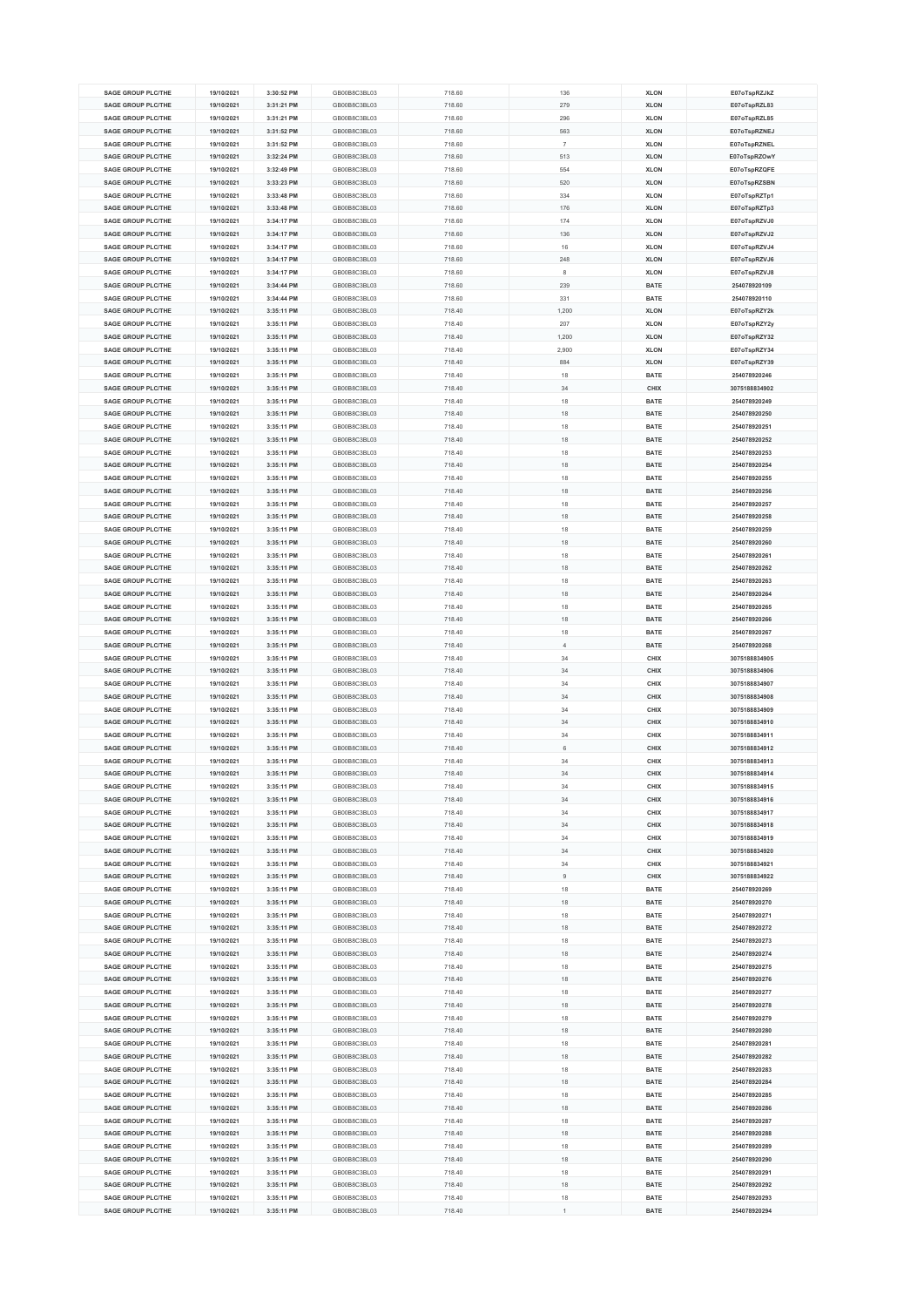| <b>SAGE GROUP PLC/THE</b> | 19/10/2021 | 3:30:52 PM | GB00B8C3BL03 | 718.60 | 136            | <b>XLON</b> | E07oTspRZJkZ  |
|---------------------------|------------|------------|--------------|--------|----------------|-------------|---------------|
|                           |            |            |              |        |                |             |               |
| <b>SAGE GROUP PLC/THE</b> | 19/10/2021 | 3:31:21 PM | GB00B8C3BL03 | 718.60 | 279            | <b>XLON</b> | E07oTspRZL83  |
| <b>SAGE GROUP PLC/THE</b> | 19/10/2021 | 3:31:21 PM | GB00B8C3BL03 | 718.60 | 296            | <b>XLON</b> | E07oTspRZL85  |
| <b>SAGE GROUP PLC/THE</b> | 19/10/2021 | 3:31:52 PM | GB00B8C3BL03 | 718.60 | 563            | <b>XLON</b> | E07oTspRZNEJ  |
| <b>SAGE GROUP PLC/THE</b> | 19/10/2021 | 3:31:52 PM | GB00B8C3BL03 | 718.60 | $\overline{7}$ | <b>XLON</b> | E07oTspRZNEL  |
| <b>SAGE GROUP PLC/THE</b> |            | 3:32:24 PM | GB00B8C3BL03 |        | 513            | <b>XLON</b> |               |
|                           | 19/10/2021 |            |              | 718.60 |                |             | E07oTspRZOwY  |
| <b>SAGE GROUP PLC/THE</b> | 19/10/2021 | 3:32:49 PM | GB00B8C3BL03 | 718.60 | 554            | <b>XLON</b> | E07oTspRZQFE  |
| <b>SAGE GROUP PLC/THE</b> | 19/10/2021 | 3:33:23 PM | GB00B8C3BL03 | 718.60 | 520            | <b>XLON</b> | E07oTspRZSBN  |
| <b>SAGE GROUP PLC/THE</b> | 19/10/2021 | 3:33:48 PM | GB00B8C3BL03 | 718.60 | 334            | <b>XLON</b> | E07oTspRZTp1  |
| <b>SAGE GROUP PLC/THE</b> | 19/10/2021 | 3:33:48 PM | GB00B8C3BL03 | 718.60 | 176            | <b>XLON</b> | E07oTspRZTp3  |
|                           |            |            |              |        |                |             |               |
| <b>SAGE GROUP PLC/THE</b> | 19/10/2021 | 3:34:17 PM | GB00B8C3BL03 | 718.60 | 174            | <b>XLON</b> | E07oTspRZVJ0  |
| <b>SAGE GROUP PLC/THE</b> | 19/10/2021 | 3:34:17 PM | GB00B8C3BL03 | 718.60 | 136            | <b>XLON</b> | E07oTspRZVJ2  |
| <b>SAGE GROUP PLC/THE</b> | 19/10/2021 | 3:34:17 PM | GB00B8C3BL03 | 718.60 | 16             | <b>XLON</b> | E07oTspRZVJ4  |
| <b>SAGE GROUP PLC/THE</b> | 19/10/2021 | 3:34:17 PM | GB00B8C3BL03 | 718.60 | 248            | <b>XLON</b> | E07oTspRZVJ6  |
| <b>SAGE GROUP PLC/THE</b> | 19/10/2021 | 3:34:17 PM | GB00B8C3BL03 | 718.60 | 8              | <b>XLON</b> | E07oTspRZVJ8  |
|                           |            |            |              |        |                |             |               |
| <b>SAGE GROUP PLC/THE</b> | 19/10/2021 | 3:34:44 PM | GB00B8C3BL03 | 718.60 | 239            | <b>BATE</b> | 254078920109  |
| <b>SAGE GROUP PLC/THE</b> | 19/10/2021 | 3:34:44 PM | GB00B8C3BL03 | 718.60 | 331            | <b>BATE</b> | 254078920110  |
| <b>SAGE GROUP PLC/THE</b> | 19/10/2021 | 3:35:11 PM | GB00B8C3BL03 | 718.40 | 1,200          | <b>XLON</b> | E07oTspRZY2k  |
| <b>SAGE GROUP PLC/THE</b> | 19/10/2021 | 3:35:11 PM | GB00B8C3BL03 | 718.40 | 207            | <b>XLON</b> | E07oTspRZY2y  |
| <b>SAGE GROUP PLC/THE</b> | 19/10/2021 | 3:35:11 PM | GB00B8C3BL03 | 718.40 | 1,200          | <b>XLON</b> | E07oTspRZY32  |
| <b>SAGE GROUP PLC/THE</b> | 19/10/2021 | 3:35:11 PM | GB00B8C3BL03 | 718.40 | 2,900          | <b>XLON</b> | E07oTspRZY34  |
|                           |            |            |              |        |                |             |               |
| <b>SAGE GROUP PLC/THE</b> | 19/10/2021 | 3:35:11 PM | GB00B8C3BL03 | 718.40 | 884            | <b>XLON</b> | E07oTspRZY39  |
| <b>SAGE GROUP PLC/THE</b> | 19/10/2021 | 3:35:11 PM | GB00B8C3BL03 | 718.40 | 18             | BATE        | 254078920246  |
| <b>SAGE GROUP PLC/THE</b> | 19/10/2021 | 3:35:11 PM | GB00B8C3BL03 | 718.40 | 34             | CHIX        | 3075188834902 |
| <b>SAGE GROUP PLC/THE</b> | 19/10/2021 | 3:35:11 PM | GB00B8C3BL03 | 718.40 | 18             | <b>BATE</b> | 254078920249  |
| <b>SAGE GROUP PLC/THE</b> | 19/10/2021 | 3:35:11 PM | GB00B8C3BL03 | 718.40 | 18             | <b>BATE</b> | 254078920250  |
|                           |            |            |              |        |                |             |               |
| SAGE GROUP PLC/THE        | 19/10/2021 | 3:35:11 PM | GB00B8C3BL03 | 718.40 | 18             | BATE        | 254078920251  |
| <b>SAGE GROUP PLC/THE</b> | 19/10/2021 | 3:35:11 PM | GB00B8C3BL03 | 718.40 | 18             | BATE        | 254078920252  |
| <b>SAGE GROUP PLC/THE</b> | 19/10/2021 | 3:35:11 PM | GB00B8C3BL03 | 718.40 | 18             | <b>BATE</b> | 254078920253  |
| <b>SAGE GROUP PLC/THE</b> | 19/10/2021 | 3:35:11 PM | GB00B8C3BL03 | 718.40 | 18             | BATE        | 254078920254  |
| SAGE GROUP PLC/THE        | 19/10/2021 | 3:35:11 PM | GB00B8C3BL03 | 718.40 |                |             | 254078920255  |
|                           |            |            |              |        | 18             | BATE        |               |
| <b>SAGE GROUP PLC/THE</b> | 19/10/2021 | 3:35:11 PM | GB00B8C3BL03 | 718.40 | 18             | BATE        | 254078920256  |
| <b>SAGE GROUP PLC/THE</b> | 19/10/2021 | 3:35:11 PM | GB00B8C3BL03 | 718.40 | 18             | <b>BATE</b> | 254078920257  |
| <b>SAGE GROUP PLC/THE</b> | 19/10/2021 | 3:35:11 PM | GB00B8C3BL03 | 718.40 | 18             | <b>BATE</b> | 254078920258  |
| SAGE GROUP PLC/THE        | 19/10/2021 | 3:35:11 PM | GB00B8C3BL03 | 718.40 | 18             | <b>BATE</b> | 254078920259  |
| <b>SAGE GROUP PLC/THE</b> | 19/10/2021 | 3:35:11 PM | GB00B8C3BL03 | 718.40 | 18             | BATE        | 254078920260  |
|                           |            |            |              |        |                |             |               |
| <b>SAGE GROUP PLC/THE</b> | 19/10/2021 | 3:35:11 PM | GB00B8C3BL03 | 718.40 | 18             | <b>BATE</b> | 254078920261  |
| <b>SAGE GROUP PLC/THE</b> | 19/10/2021 | 3:35:11 PM | GB00B8C3BL03 | 718.40 | 18             | BATE        | 254078920262  |
| <b>SAGE GROUP PLC/THE</b> | 19/10/2021 | 3:35:11 PM | GB00B8C3BL03 | 718.40 | 18             | <b>BATE</b> | 254078920263  |
| <b>SAGE GROUP PLC/THE</b> | 19/10/2021 | 3:35:11 PM | GB00B8C3BL03 | 718.40 | 18             | BATE        | 254078920264  |
| <b>SAGE GROUP PLC/THE</b> | 19/10/2021 | 3:35:11 PM | GB00B8C3BL03 | 718.40 | 18             | <b>BATE</b> | 254078920265  |
|                           |            |            |              |        |                |             |               |
| <b>SAGE GROUP PLC/THE</b> | 19/10/2021 | 3:35:11 PM | GB00B8C3BL03 | 718.40 | 18             | <b>BATE</b> | 254078920266  |
| <b>SAGE GROUP PLC/THE</b> | 19/10/2021 | 3:35:11 PM | GB00B8C3BL03 | 718.40 | 18             | <b>BATE</b> | 254078920267  |
| <b>SAGE GROUP PLC/THE</b> | 19/10/2021 | 3:35:11 PM | GB00B8C3BL03 | 718.40 | $\overline{4}$ | <b>BATE</b> | 254078920268  |
| <b>SAGE GROUP PLC/THE</b> | 19/10/2021 | 3:35:11 PM | GB00B8C3BL03 | 718.40 | 34             | CHIX        | 3075188834905 |
| <b>SAGE GROUP PLC/THE</b> | 19/10/2021 | 3:35:11 PM | GB00B8C3BL03 | 718.40 | 34             | CHIX        | 3075188834906 |
| <b>SAGE GROUP PLC/THE</b> | 19/10/2021 | 3:35:11 PM | GB00B8C3BL03 | 718.40 | 34             | CHIX        | 3075188834907 |
|                           |            |            |              |        |                |             |               |
| <b>SAGE GROUP PLC/THE</b> | 19/10/2021 | 3:35:11 PM | GB00B8C3BL03 | 718.40 | 34             | CHIX        | 3075188834908 |
| <b>SAGE GROUP PLC/THE</b> | 19/10/2021 | 3:35:11 PM | GB00B8C3BL03 | 718.40 | 34             | CHIX        | 3075188834909 |
| SAGE GROUP PLC/THE        | 19/10/2021 | 3:35:11 PM | GB00B8C3BL03 | 718.40 | 34             | CHIX        | 3075188834910 |
| <b>SAGE GROUP PLC/THE</b> | 19/10/2021 | 3:35:11 PM | GB00B8C3BL03 | 718.40 | 34             | CHIX        | 3075188834911 |
| SAGE GROUP PLC/THE        | 19/10/2021 | 3:35:11 PM | GB00B8C3BL03 | 718.40 | 6              | CHIX        | 3075188834912 |
|                           |            |            |              |        |                |             |               |
| <b>SAGE GROUP PLC/THE</b> | 19/10/2021 | 3:35:11 PM | GB00B8C3BL03 | 718.40 | 34             | CHIX        | 3075188834913 |
| <b>SAGE GROUP PLC/THE</b> | 19/10/2021 | 3:35:11 PM | GB00B8C3BL03 | 718.40 | 34             | CHIX        | 3075188834914 |
| <b>SAGE GROUP PLC/THE</b> | 19/10/2021 | 3:35:11 PM | GB00B8C3BL03 | 718.40 | 34             | CHIX        | 3075188834915 |
| <b>SAGE GROUP PLC/THE</b> | 19/10/2021 | 3:35:11 PM | GB00B8C3BL03 | 718.40 | 34             | CHIX        | 3075188834916 |
| <b>SAGE GROUP PLC/THE</b> | 19/10/2021 | 3:35:11 PM | GB00B8C3BL03 | 718.40 | 34             | CHIX        | 3075188834917 |
| <b>SAGE GROUP PLC/THE</b> |            |            | GB00B8C3BL03 |        | 34             |             | 3075188834918 |
|                           | 19/10/2021 | 3:35:11 PM |              | 718.40 |                | <b>CHIX</b> |               |
| <b>SAGE GROUP PLC/THE</b> | 19/10/2021 | 3:35:11 PM | GB00B8C3BL03 | 718.40 | 34             | CHIX        | 3075188834919 |
| <b>SAGE GROUP PLC/THE</b> | 19/10/2021 | 3:35:11 PM | GB00B8C3BL03 | 718.40 | 34             | CHIX        | 3075188834920 |
| <b>SAGE GROUP PLC/THE</b> | 19/10/2021 | 3:35:11 PM | GB00B8C3BL03 | 718.40 | 34             | CHIX        | 3075188834921 |
| <b>SAGE GROUP PLC/THE</b> | 19/10/2021 | 3:35:11 PM | GB00B8C3BL03 | 718.40 | 9              | CHIX        | 3075188834922 |
| SAGE GROUP PLC/THE        | 19/10/2021 | 3:35:11 PM | GB00B8C3BL03 | 718.40 | 18             | <b>BATE</b> | 254078920269  |
| <b>SAGE GROUP PLC/THE</b> |            |            | GB00B8C3BL03 |        |                |             |               |
|                           | 19/10/2021 | 3:35:11 PM |              | 718.40 | 18             | <b>BATE</b> | 254078920270  |
| <b>SAGE GROUP PLC/THE</b> | 19/10/2021 | 3:35:11 PM | GB00B8C3BL03 | 718.40 | 18             | BATE        | 254078920271  |
| <b>SAGE GROUP PLC/THE</b> | 19/10/2021 | 3:35:11 PM | GB00B8C3BL03 | 718.40 | 18             | BATE        | 254078920272  |
| <b>SAGE GROUP PLC/THE</b> | 19/10/2021 | 3:35:11 PM | GB00B8C3BL03 | 718.40 | 18             | <b>BATE</b> | 254078920273  |
| <b>SAGE GROUP PLC/THE</b> | 19/10/2021 | 3:35:11 PM | GB00B8C3BL03 | 718.40 | 18             | <b>BATE</b> | 254078920274  |
| <b>SAGE GROUP PLC/THE</b> | 19/10/2021 | 3:35:11 PM | GB00B8C3BL03 | 718.40 | 18             | BATE        | 254078920275  |
| <b>SAGE GROUP PLC/THE</b> | 19/10/2021 | 3:35:11 PM | GB00B8C3BL03 | 718.40 | 18             | <b>BATE</b> | 254078920276  |
|                           |            |            |              |        |                |             |               |
| <b>SAGE GROUP PLC/THE</b> | 19/10/2021 | 3:35:11 PM | GB00B8C3BL03 | 718.40 | 18             | <b>BATE</b> | 254078920277  |
| <b>SAGE GROUP PLC/THE</b> | 19/10/2021 | 3:35:11 PM | GB00B8C3BL03 | 718.40 | 18             | <b>BATE</b> | 254078920278  |
| <b>SAGE GROUP PLC/THE</b> | 19/10/2021 | 3:35:11 PM | GB00B8C3BL03 | 718.40 | 18             | BATE        | 254078920279  |
| <b>SAGE GROUP PLC/THE</b> | 19/10/2021 | 3:35:11 PM | GB00B8C3BL03 | 718.40 | 18             | BATE        | 254078920280  |
| <b>SAGE GROUP PLC/THE</b> | 19/10/2021 | 3:35:11 PM | GB00B8C3BL03 | 718.40 | 18             | <b>BATE</b> | 254078920281  |
| <b>SAGE GROUP PLC/THE</b> | 19/10/2021 | 3:35:11 PM | GB00B8C3BL03 | 718.40 | 18             | BATE        | 254078920282  |
|                           |            |            |              |        |                |             |               |
| <b>SAGE GROUP PLC/THE</b> | 19/10/2021 | 3:35:11 PM | GB00B8C3BL03 | 718.40 | 18             | BATE        | 254078920283  |
| <b>SAGE GROUP PLC/THE</b> | 19/10/2021 | 3:35:11 PM | GB00B8C3BL03 | 718.40 | 18             | BATE        | 254078920284  |
| <b>SAGE GROUP PLC/THE</b> | 19/10/2021 | 3:35:11 PM | GB00B8C3BL03 | 718.40 | 18             | <b>BATE</b> | 254078920285  |
| <b>SAGE GROUP PLC/THE</b> | 19/10/2021 | 3:35:11 PM | GB00B8C3BL03 | 718.40 | 18             | BATE        | 254078920286  |
| <b>SAGE GROUP PLC/THE</b> | 19/10/2021 | 3:35:11 PM | GB00B8C3BL03 | 718.40 | 18             | BATE        | 254078920287  |
|                           |            |            |              |        |                |             |               |
| <b>SAGE GROUP PLC/THE</b> | 19/10/2021 | 3:35:11 PM | GB00B8C3BL03 | 718.40 | 18             | BATE        | 254078920288  |
| <b>SAGE GROUP PLC/THE</b> | 19/10/2021 | 3:35:11 PM | GB00B8C3BL03 | 718.40 | 18             | BATE        | 254078920289  |
| <b>SAGE GROUP PLC/THE</b> | 19/10/2021 | 3:35:11 PM | GB00B8C3BL03 | 718.40 | 18             | BATE        | 254078920290  |
| <b>SAGE GROUP PLC/THE</b> | 19/10/2021 | 3:35:11 PM | GB00B8C3BL03 | 718.40 | 18             | <b>BATE</b> | 254078920291  |
| <b>SAGE GROUP PLC/THE</b> | 19/10/2021 | 3:35:11 PM | GB00B8C3BL03 | 718.40 | 18             | <b>BATE</b> | 254078920292  |
| <b>SAGE GROUP PLC/THE</b> | 19/10/2021 | 3:35:11 PM | GB00B8C3BL03 | 718.40 |                | <b>BATE</b> | 254078920293  |
|                           |            |            |              |        | 18             |             |               |
| <b>SAGE GROUP PLC/THE</b> | 19/10/2021 | 3:35:11 PM | GB00B8C3BL03 | 718.40 | 1              | <b>BATE</b> | 254078920294  |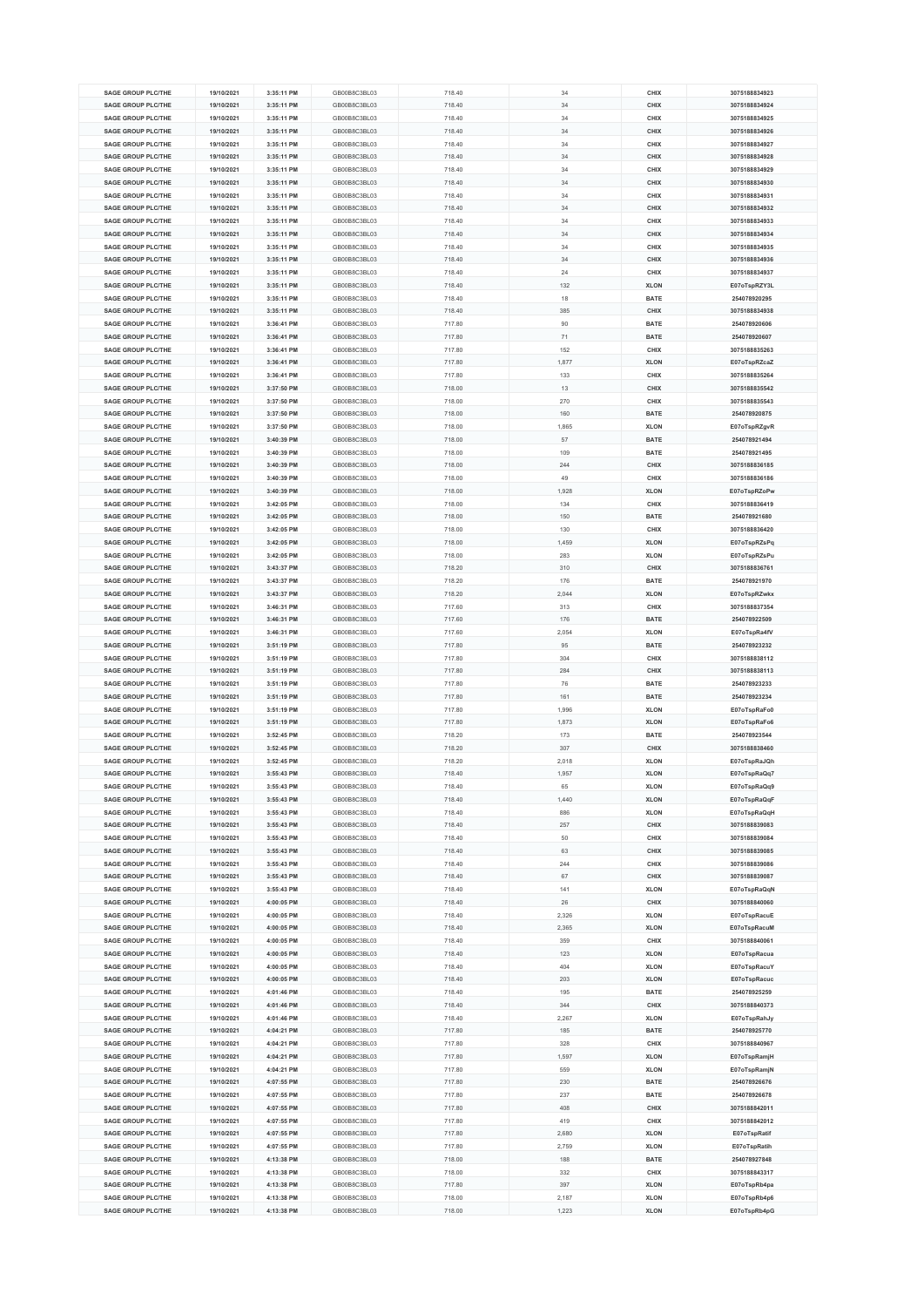| <b>SAGE GROUP PLC/THE</b> | 19/10/2021 | 3:35:11 PM | GB00B8C3BL03 | 718.40 | 34    | CHIX        | 3075188834923 |
|---------------------------|------------|------------|--------------|--------|-------|-------------|---------------|
|                           |            |            |              |        |       |             |               |
| SAGE GROUP PLC/THE        | 19/10/2021 | 3:35:11 PM | GB00B8C3BL03 | 718.40 | 34    | CHIX        | 3075188834924 |
| <b>SAGE GROUP PLC/THE</b> | 19/10/2021 | 3:35:11 PM | GB00B8C3BL03 | 718.40 | 34    | CHIX        | 3075188834925 |
|                           |            |            |              |        |       |             |               |
| <b>SAGE GROUP PLC/THE</b> | 19/10/2021 | 3:35:11 PM | GB00B8C3BL03 | 718.40 | 34    | CHIX        | 3075188834926 |
| <b>SAGE GROUP PLC/THE</b> | 19/10/2021 | 3:35:11 PM | GB00B8C3BL03 | 718.40 | 34    | CHIX        | 3075188834927 |
| <b>SAGE GROUP PLC/THE</b> | 19/10/2021 | 3:35:11 PM | GB00B8C3BL03 | 718.40 | 34    | CHIX        | 3075188834928 |
|                           |            |            |              |        |       |             |               |
| <b>SAGE GROUP PLC/THE</b> | 19/10/2021 | 3:35:11 PM | GB00B8C3BL03 | 718.40 | 34    | CHIX        | 3075188834929 |
| SAGE GROUP PLC/THE        | 19/10/2021 | 3:35:11 PM | GB00B8C3BL03 | 718.40 | 34    | CHIX        | 3075188834930 |
|                           |            | 3:35:11 PM |              |        |       |             |               |
| <b>SAGE GROUP PLC/THE</b> | 19/10/2021 |            | GB00B8C3BL03 | 718.40 | 34    | CHIX        | 3075188834931 |
| <b>SAGE GROUP PLC/THE</b> | 19/10/2021 | 3:35:11 PM | GB00B8C3BL03 | 718.40 | 34    | CHIX        | 3075188834932 |
| <b>SAGE GROUP PLC/THE</b> | 19/10/2021 | 3:35:11 PM | GB00B8C3BL03 | 718.40 | 34    | CHIX        | 3075188834933 |
|                           |            |            |              |        |       |             |               |
| <b>SAGE GROUP PLC/THE</b> | 19/10/2021 | 3:35:11 PM | GB00B8C3BL03 | 718.40 | 34    | CHIX        | 3075188834934 |
| <b>SAGE GROUP PLC/THE</b> | 19/10/2021 | 3:35:11 PM | GB00B8C3BL03 | 718.40 | 34    | CHIX        | 3075188834935 |
| <b>SAGE GROUP PLC/THE</b> | 19/10/2021 | 3:35:11 PM | GB00B8C3BL03 | 718.40 | 34    | CHIX        | 3075188834936 |
|                           |            |            |              |        |       |             |               |
| <b>SAGE GROUP PLC/THE</b> | 19/10/2021 | 3:35:11 PM | GB00B8C3BL03 | 718.40 | 24    | CHIX        | 3075188834937 |
| <b>SAGE GROUP PLC/THE</b> | 19/10/2021 | 3:35:11 PM | GB00B8C3BL03 | 718.40 | 132   | <b>XLON</b> | E07oTspRZY3L  |
| <b>SAGE GROUP PLC/THE</b> |            | 3:35:11 PM | GB00B8C3BL03 |        | 18    | <b>BATE</b> | 254078920295  |
|                           | 19/10/2021 |            |              | 718.40 |       |             |               |
| <b>SAGE GROUP PLC/THE</b> | 19/10/2021 | 3:35:11 PM | GB00B8C3BL03 | 718.40 | 385   | CHIX        | 3075188834938 |
| <b>SAGE GROUP PLC/THE</b> | 19/10/2021 | 3:36:41 PM | GB00B8C3BL03 | 717.80 | 90    | <b>BATE</b> | 254078920606  |
|                           |            |            |              |        |       |             |               |
| <b>SAGE GROUP PLC/THE</b> | 19/10/2021 | 3:36:41 PM | GB00B8C3BL03 | 717.80 | 71    | <b>BATE</b> | 254078920607  |
| <b>SAGE GROUP PLC/THE</b> | 19/10/2021 | 3:36:41 PM | GB00B8C3BL03 | 717.80 | 152   | CHIX        | 3075188835263 |
| <b>SAGE GROUP PLC/THE</b> | 19/10/2021 | 3:36:41 PM | GB00B8C3BL03 | 717.80 | 1,877 | <b>XLON</b> | E07oTspRZcaZ  |
|                           |            |            |              |        |       |             |               |
| <b>SAGE GROUP PLC/THE</b> | 19/10/2021 | 3:36:41 PM | GB00B8C3BL03 | 717.80 | 133   | CHIX        | 3075188835264 |
| <b>SAGE GROUP PLC/THE</b> | 19/10/2021 | 3:37:50 PM | GB00B8C3BL03 | 718.00 | 13    | CHIX        | 3075188835542 |
| <b>SAGE GROUP PLC/THE</b> | 19/10/2021 | 3:37:50 PM | GB00B8C3BL03 | 718.00 | 270   | CHIX        | 3075188835543 |
|                           |            |            |              |        |       |             |               |
| <b>SAGE GROUP PLC/THE</b> | 19/10/2021 | 3:37:50 PM | GB00B8C3BL03 | 718.00 | 160   | <b>BATE</b> | 254078920875  |
| <b>SAGE GROUP PLC/THE</b> | 19/10/2021 | 3:37:50 PM | GB00B8C3BL03 | 718.00 | 1,865 | <b>XLON</b> | E07oTspRZgvR  |
|                           |            |            |              |        |       |             |               |
| <b>SAGE GROUP PLC/THE</b> | 19/10/2021 | 3:40:39 PM | GB00B8C3BL03 | 718.00 | 57    | <b>BATE</b> | 254078921494  |
| SAGE GROUP PLC/THE        | 19/10/2021 | 3:40:39 PM | GB00B8C3BL03 | 718.00 | 109   | <b>BATE</b> | 254078921495  |
| <b>SAGE GROUP PLC/THE</b> | 19/10/2021 | 3:40:39 PM | GB00B8C3BL03 | 718.00 | 244   | CHIX        | 3075188836185 |
|                           |            |            |              |        |       |             |               |
| <b>SAGE GROUP PLC/THE</b> | 19/10/2021 | 3:40:39 PM | GB00B8C3BL03 | 718.00 | 49    | CHIX        | 3075188836186 |
| <b>SAGE GROUP PLC/THE</b> | 19/10/2021 | 3:40:39 PM | GB00B8C3BL03 | 718.00 | 1,928 | <b>XLON</b> | E07oTspRZoPw  |
| SAGE GROUP PLC/THE        | 19/10/2021 | 3:42:05 PM | GB00B8C3BL03 | 718.00 | 134   | CHIX        | 3075188836419 |
|                           |            |            |              |        |       |             |               |
| <b>SAGE GROUP PLC/THE</b> | 19/10/2021 | 3:42:05 PM | GB00B8C3BL03 | 718.00 | 150   | <b>BATE</b> | 254078921680  |
| <b>SAGE GROUP PLC/THE</b> | 19/10/2021 | 3:42:05 PM | GB00B8C3BL03 | 718.00 | 130   | CHIX        | 3075188836420 |
|                           |            |            |              |        |       |             |               |
| <b>SAGE GROUP PLC/THE</b> | 19/10/2021 | 3:42:05 PM | GB00B8C3BL03 | 718.00 | 1,459 | <b>XLON</b> | E07oTspRZsPq  |
| <b>SAGE GROUP PLC/THE</b> | 19/10/2021 | 3:42:05 PM | GB00B8C3BL03 | 718.00 | 283   | <b>XLON</b> | E07oTspRZsPu  |
| <b>SAGE GROUP PLC/THE</b> | 19/10/2021 | 3:43:37 PM | GB00B8C3BL03 | 718.20 | 310   | CHIX        | 3075188836761 |
|                           |            |            |              |        |       |             |               |
| <b>SAGE GROUP PLC/THE</b> | 19/10/2021 | 3:43:37 PM | GB00B8C3BL03 | 718.20 | 176   | <b>BATE</b> | 254078921970  |
| <b>SAGE GROUP PLC/THE</b> | 19/10/2021 | 3:43:37 PM | GB00B8C3BL03 | 718.20 | 2.044 | <b>XLON</b> | E07oTspRZwkx  |
|                           |            |            |              |        |       |             |               |
| <b>SAGE GROUP PLC/THE</b> | 19/10/2021 | 3:46:31 PM | GB00B8C3BL03 | 717.60 | 313   | CHIX        | 3075188837354 |
| <b>SAGE GROUP PLC/THE</b> | 19/10/2021 | 3:46:31 PM | GB00B8C3BL03 | 717.60 | 176   | <b>BATE</b> | 254078922509  |
| <b>SAGE GROUP PLC/THE</b> | 19/10/2021 | 3:46:31 PM | GB00B8C3BL03 | 717.60 | 2,054 | <b>XLON</b> | E07oTspRa4fV  |
|                           |            |            |              |        |       |             |               |
| <b>SAGE GROUP PLC/THE</b> | 19/10/2021 | 3:51:19 PM | GB00B8C3BL03 | 717.80 | 95    | <b>BATE</b> | 254078923232  |
| <b>SAGE GROUP PLC/THE</b> | 19/10/2021 | 3:51:19 PM | GB00B8C3BL03 | 717.80 | 304   | CHIX        | 3075188838112 |
| <b>SAGE GROUP PLC/THE</b> | 19/10/2021 | 3:51:19 PM | GB00B8C3BL03 | 717.80 | 284   | CHIX        | 3075188838113 |
|                           |            |            |              |        |       |             |               |
| <b>SAGE GROUP PLC/THE</b> | 19/10/2021 | 3:51:19 PM | GB00B8C3BL03 | 717.80 | 76    | <b>BATE</b> | 254078923233  |
| <b>SAGE GROUP PLC/THE</b> | 19/10/2021 | 3:51:19 PM | GB00B8C3BL03 | 717.80 | 161   | <b>BATE</b> | 254078923234  |
| <b>SAGE GROUP PLC/THE</b> | 19/10/2021 | 3:51:19 PM | GB00B8C3BL03 | 717.80 | 1,996 | <b>XLON</b> | E07oTspRaFo0  |
|                           |            |            |              |        |       |             |               |
| <b>SAGE GROUP PLC/THE</b> | 19/10/2021 | 3:51:19 PM | GB00B8C3BL03 | 717.80 | 1,873 | <b>XLON</b> | E07oTspRaFo6  |
| <b>SAGE GROUP PLC/THE</b> | 19/10/2021 | 3:52:45 PM | GB00B8C3BL03 | 718.20 | 173   | <b>BATE</b> | 254078923544  |
| SAGE GROUP PLC/THE        |            |            | GB00B8C3BL03 |        |       | CHIX        |               |
|                           | 19/10/2021 | 3:52:45 PM |              | 718.20 | 307   |             | 3075188838460 |
| <b>SAGE GROUP PLC/THE</b> | 19/10/2021 | 3:52:45 PM | GB00B8C3BL03 | 718.20 | 2,018 | <b>XLON</b> | E07oTspRaJQh  |
| <b>SAGE GROUP PLC/THE</b> | 19/10/2021 | 3:55:43 PM | GB00B8C3BL03 | 718.40 | 1,957 | <b>XLON</b> | E07oTspRaQq7  |
|                           |            |            |              |        |       |             |               |
| <b>SAGE GROUP PLC/THE</b> | 19/10/2021 | 3:55:43 PM | GR00R8C3RE03 | 718.40 | 65    | <b>XLON</b> | E07olspRaQq9  |
| <b>SAGE GROUP PLC/THE</b> | 19/10/2021 | 3:55:43 PM | GB00B8C3BL03 | 718.40 | 1,440 | <b>XLON</b> | E07oTspRaQqF  |
| <b>SAGE GROUP PLC/THE</b> | 19/10/2021 | 3:55:43 PM | GB00B8C3BL03 | 718.40 | 886   | <b>XLON</b> | E07oTspRaQqH  |
|                           |            |            |              |        |       |             |               |
| <b>SAGE GROUP PLC/THE</b> | 19/10/2021 | 3:55:43 PM | GB00B8C3BL03 | 718.40 | 257   | CHIX        | 3075188839083 |
| <b>SAGE GROUP PLC/THE</b> | 19/10/2021 | 3:55:43 PM | GB00B8C3BL03 | 718.40 | 50    | CHIX        | 3075188839084 |
| <b>SAGE GROUP PLC/THE</b> | 19/10/2021 | 3:55:43 PM | GB00B8C3BL03 | 718.40 | 63    | CHIX        | 3075188839085 |
|                           |            |            |              |        |       |             |               |
| <b>SAGE GROUP PLC/THE</b> | 19/10/2021 | 3:55:43 PM | GB00B8C3BL03 | 718.40 | 244   | CHIX        | 3075188839086 |
| <b>SAGE GROUP PLC/THE</b> | 19/10/2021 | 3:55:43 PM | GB00B8C3BL03 | 718.40 | 67    | CHIX        | 3075188839087 |
| <b>SAGE GROUP PLC/THE</b> | 19/10/2021 | 3:55:43 PM | GB00B8C3BL03 | 718.40 | 141   | <b>XLON</b> | E07oTspRaQqN  |
|                           |            |            |              |        |       |             |               |
| <b>SAGE GROUP PLC/THE</b> | 19/10/2021 | 4:00:05 PM | GB00B8C3BL03 | 718.40 | 26    | CHIX        | 3075188840060 |
| <b>SAGE GROUP PLC/THE</b> | 19/10/2021 | 4:00:05 PM | GB00B8C3BL03 | 718.40 | 2,326 | <b>XLON</b> | E07oTspRacuE  |
| <b>SAGE GROUP PLC/THE</b> | 19/10/2021 | 4:00:05 PM | GB00B8C3BL03 | 718.40 | 2,365 | <b>XLON</b> | E07oTspRacuM  |
|                           |            |            |              |        |       |             |               |
| <b>SAGE GROUP PLC/THE</b> | 19/10/2021 | 4:00:05 PM | GB00B8C3BL03 | 718.40 | 359   | CHIX        | 3075188840061 |
| <b>SAGE GROUP PLC/THE</b> | 19/10/2021 | 4:00:05 PM | GB00B8C3BL03 | 718.40 | 123   | <b>XLON</b> | E07oTspRacua  |
| SAGE GROUP PLC/THE        |            |            | GB00B8C3BL03 | 718.40 | 404   | <b>XLON</b> |               |
|                           | 19/10/2021 | 4:00:05 PM |              |        |       |             | E07oTspRacuY  |
| <b>SAGE GROUP PLC/THE</b> | 19/10/2021 | 4:00:05 PM | GB00B8C3BL03 | 718.40 | 203   | <b>XLON</b> | E07oTspRacuc  |
| <b>SAGE GROUP PLC/THE</b> | 19/10/2021 | 4:01:46 PM | GB00B8C3BL03 | 718.40 | 195   | <b>BATE</b> | 254078925259  |
| <b>SAGE GROUP PLC/THE</b> | 19/10/2021 | 4:01:46 PM | GB00B8C3BL03 | 718.40 | 344   | CHIX        | 3075188840373 |
|                           |            |            |              |        |       |             |               |
| SAGE GROUP PLC/THE        | 19/10/2021 | 4:01:46 PM | GB00B8C3BL03 | 718.40 | 2,267 | <b>XLON</b> | E07oTspRahJy  |
| <b>SAGE GROUP PLC/THE</b> | 19/10/2021 | 4:04:21 PM | GB00B8C3BL03 | 717.80 | 185   | <b>BATE</b> | 254078925770  |
|                           |            |            |              |        |       |             |               |
| <b>SAGE GROUP PLC/THE</b> | 19/10/2021 | 4:04:21 PM | GB00B8C3BL03 | 717.80 | 328   | CHIX        | 3075188840967 |
| <b>SAGE GROUP PLC/THE</b> | 19/10/2021 | 4:04:21 PM | GB00B8C3BL03 | 717.80 | 1,597 | <b>XLON</b> | E07oTspRamjH  |
| <b>SAGE GROUP PLC/THE</b> | 19/10/2021 | 4:04:21 PM | GB00B8C3BL03 | 717.80 | 559   | <b>XLON</b> | E07oTspRamjN  |
|                           |            |            |              |        |       |             |               |
| <b>SAGE GROUP PLC/THE</b> | 19/10/2021 | 4:07:55 PM | GB00B8C3BL03 | 717.80 | 230   | <b>BATE</b> | 254078926676  |
| <b>SAGE GROUP PLC/THE</b> | 19/10/2021 | 4:07:55 PM | GB00B8C3BL03 | 717.80 | 237   | <b>BATE</b> | 254078926678  |
| <b>SAGE GROUP PLC/THE</b> | 19/10/2021 | 4:07:55 PM | GB00B8C3BL03 | 717.80 | 408   | CHIX        | 3075188842011 |
|                           |            |            |              |        |       |             |               |
| <b>SAGE GROUP PLC/THE</b> | 19/10/2021 | 4:07:55 PM | GB00B8C3BL03 | 717.80 | 419   | CHIX        | 3075188842012 |
| <b>SAGE GROUP PLC/THE</b> | 19/10/2021 | 4:07:55 PM | GB00B8C3BL03 | 717.80 | 2,680 | <b>XLON</b> | E07oTspRatif  |
|                           |            |            |              |        |       |             |               |
| <b>SAGE GROUP PLC/THE</b> | 19/10/2021 | 4:07:55 PM | GB00B8C3BL03 | 717.80 | 2,759 | <b>XLON</b> | E07oTspRatih  |
| <b>SAGE GROUP PLC/THE</b> | 19/10/2021 | 4:13:38 PM | GB00B8C3BL03 | 718.00 | 188   | <b>BATE</b> | 254078927848  |
| <b>SAGE GROUP PLC/THE</b> | 19/10/2021 | 4:13:38 PM | GB00B8C3BL03 | 718.00 | 332   | CHIX        | 3075188843317 |
| <b>SAGE GROUP PLC/THE</b> | 19/10/2021 | 4:13:38 PM | GB00B8C3BL03 |        | 397   | <b>XLON</b> |               |
|                           |            |            |              | 717.80 |       |             | E07oTspRb4pa  |
| <b>SAGE GROUP PLC/THE</b> | 19/10/2021 | 4:13:38 PM | GB00B8C3BL03 | 718.00 | 2,187 | <b>XLON</b> | E07oTspRb4p6  |
| <b>SAGE GROUP PLC/THE</b> | 19/10/2021 | 4:13:38 PM | GB00B8C3BL03 | 718.00 | 1,223 | <b>XLON</b> | E07oTspRb4pG  |
|                           |            |            |              |        |       |             |               |